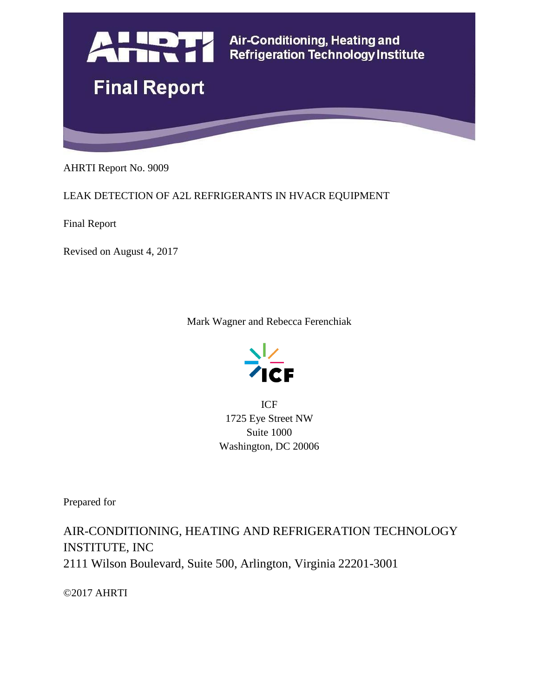

AHRTI Report No. 9009

LEAK DETECTION OF A2L REFRIGERANTS IN HVACR EQUIPMENT

Final Report

Revised on August 4, 2017

Mark Wagner and Rebecca Ferenchiak



ICF 1725 Eye Street NW Suite 1000 Washington, DC 20006

Prepared for

AIR-CONDITIONING, HEATING AND REFRIGERATION TECHNOLOGY INSTITUTE, INC 2111 Wilson Boulevard, Suite 500, Arlington, Virginia 22201-3001

©2017 AHRTI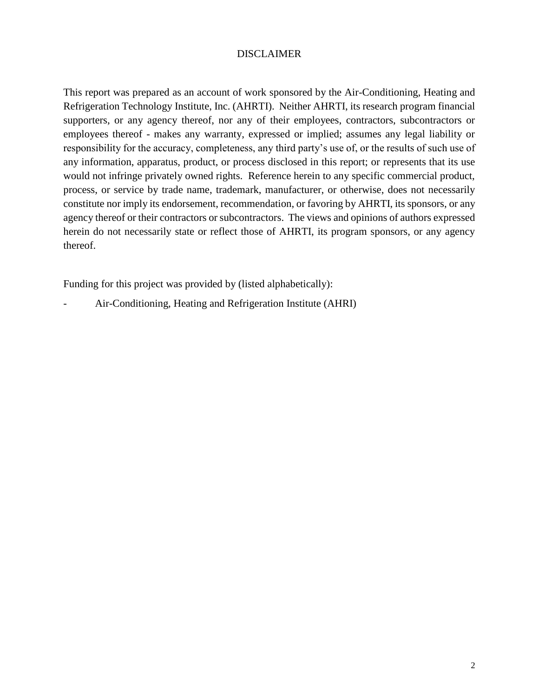#### DISCLAIMER

This report was prepared as an account of work sponsored by the Air-Conditioning, Heating and Refrigeration Technology Institute, Inc. (AHRTI). Neither AHRTI, its research program financial supporters, or any agency thereof, nor any of their employees, contractors, subcontractors or employees thereof - makes any warranty, expressed or implied; assumes any legal liability or responsibility for the accuracy, completeness, any third party's use of, or the results of such use of any information, apparatus, product, or process disclosed in this report; or represents that its use would not infringe privately owned rights. Reference herein to any specific commercial product, process, or service by trade name, trademark, manufacturer, or otherwise, does not necessarily constitute nor imply its endorsement, recommendation, or favoring by AHRTI, its sponsors, or any agency thereof or their contractors or subcontractors. The views and opinions of authors expressed herein do not necessarily state or reflect those of AHRTI, its program sponsors, or any agency thereof.

Funding for this project was provided by (listed alphabetically):

- Air-Conditioning, Heating and Refrigeration Institute (AHRI)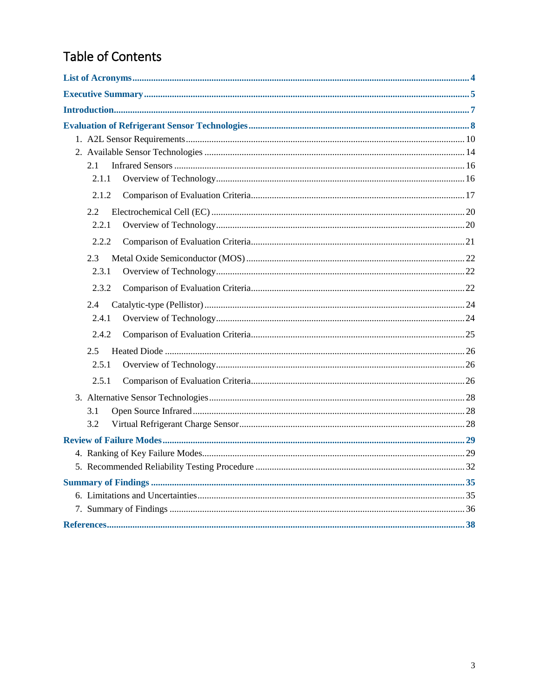# Table of Contents

| 2.1   |  |
|-------|--|
| 2.1.1 |  |
| 2.1.2 |  |
| 2.2   |  |
| 2.2.1 |  |
| 2.2.2 |  |
| 2.3   |  |
| 2.3.1 |  |
| 2.3.2 |  |
| 2.4   |  |
| 2.4.1 |  |
| 2.4.2 |  |
| 2.5   |  |
| 2.5.1 |  |
| 2.5.1 |  |
|       |  |
| 3.1   |  |
| 3.2   |  |
|       |  |
|       |  |
|       |  |
|       |  |
|       |  |
|       |  |
|       |  |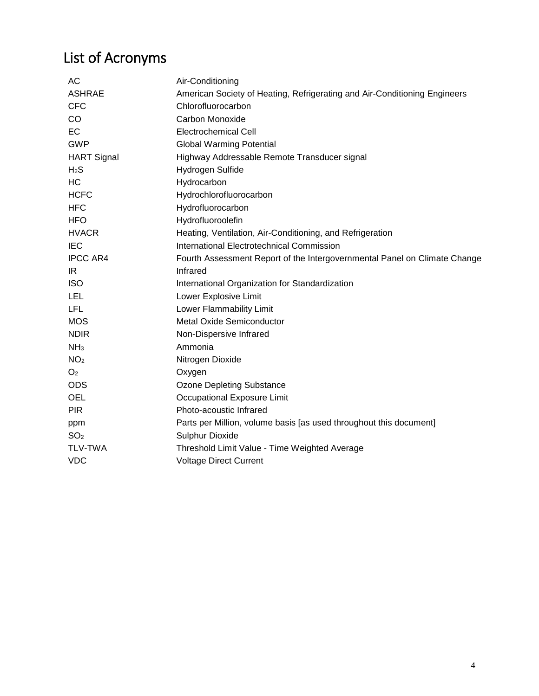# List of Acronyms

| АC                 | Air-Conditioning                                                          |
|--------------------|---------------------------------------------------------------------------|
| <b>ASHRAE</b>      | American Society of Heating, Refrigerating and Air-Conditioning Engineers |
| <b>CFC</b>         | Chlorofluorocarbon                                                        |
| CO                 | Carbon Monoxide                                                           |
| <b>EC</b>          | <b>Electrochemical Cell</b>                                               |
| <b>GWP</b>         | <b>Global Warming Potential</b>                                           |
| <b>HART Signal</b> | Highway Addressable Remote Transducer signal                              |
| H <sub>2</sub> S   | Hydrogen Sulfide                                                          |
| <b>HC</b>          | Hydrocarbon                                                               |
| <b>HCFC</b>        | Hydrochlorofluorocarbon                                                   |
| <b>HFC</b>         | Hydrofluorocarbon                                                         |
| <b>HFO</b>         | Hydrofluoroolefin                                                         |
| <b>HVACR</b>       | Heating, Ventilation, Air-Conditioning, and Refrigeration                 |
| <b>IEC</b>         | International Electrotechnical Commission                                 |
| <b>IPCC AR4</b>    | Fourth Assessment Report of the Intergovernmental Panel on Climate Change |
| IR.                | Infrared                                                                  |
| <b>ISO</b>         | International Organization for Standardization                            |
| LEL                | Lower Explosive Limit                                                     |
| LFL                | Lower Flammability Limit                                                  |
| <b>MOS</b>         | <b>Metal Oxide Semiconductor</b>                                          |
| <b>NDIR</b>        | Non-Dispersive Infrared                                                   |
| NH <sub>3</sub>    | Ammonia                                                                   |
| NO <sub>2</sub>    | Nitrogen Dioxide                                                          |
| O <sub>2</sub>     | Oxygen                                                                    |
| <b>ODS</b>         | Ozone Depleting Substance                                                 |
| <b>OEL</b>         | Occupational Exposure Limit                                               |
| <b>PIR</b>         | Photo-acoustic Infrared                                                   |
| ppm                | Parts per Million, volume basis [as used throughout this document]        |
| SO <sub>2</sub>    | Sulphur Dioxide                                                           |
| <b>TLV-TWA</b>     | Threshold Limit Value - Time Weighted Average                             |
| <b>VDC</b>         | <b>Voltage Direct Current</b>                                             |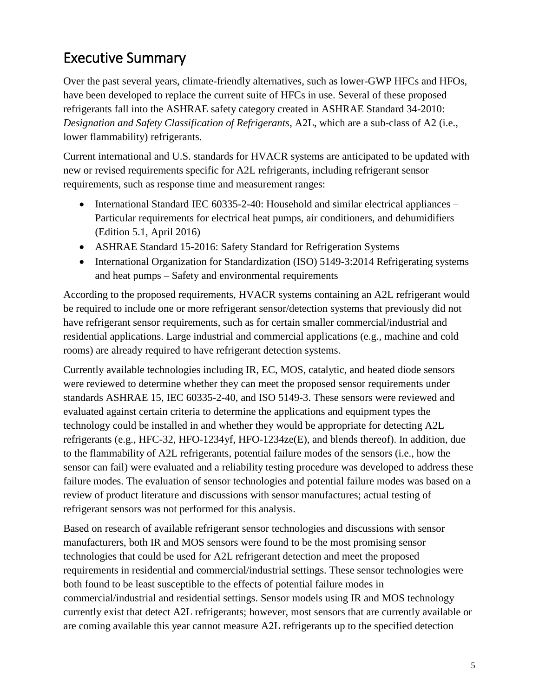# Executive Summary

Over the past several years, climate-friendly alternatives, such as lower-GWP HFCs and HFOs, have been developed to replace the current suite of HFCs in use. Several of these proposed refrigerants fall into the ASHRAE safety category created in ASHRAE Standard 34-2010: *Designation and Safety Classification of Refrigerants*, A2L, which are a sub-class of A2 (i.e., lower flammability) refrigerants.

Current international and U.S. standards for HVACR systems are anticipated to be updated with new or revised requirements specific for A2L refrigerants, including refrigerant sensor requirements, such as response time and measurement ranges:

- International Standard IEC 60335-2-40: Household and similar electrical appliances Particular requirements for electrical heat pumps, air conditioners, and dehumidifiers (Edition 5.1, April 2016)
- ASHRAE Standard 15-2016: Safety Standard for Refrigeration Systems
- International Organization for Standardization (ISO) 5149-3:2014 Refrigerating systems and heat pumps – Safety and environmental requirements

According to the proposed requirements, HVACR systems containing an A2L refrigerant would be required to include one or more refrigerant sensor/detection systems that previously did not have refrigerant sensor requirements, such as for certain smaller commercial/industrial and residential applications. Large industrial and commercial applications (e.g., machine and cold rooms) are already required to have refrigerant detection systems.

Currently available technologies including IR, EC, MOS, catalytic, and heated diode sensors were reviewed to determine whether they can meet the proposed sensor requirements under standards ASHRAE 15, IEC 60335-2-40, and ISO 5149-3. These sensors were reviewed and evaluated against certain criteria to determine the applications and equipment types the technology could be installed in and whether they would be appropriate for detecting A2L refrigerants (e.g., HFC-32, HFO-1234yf, HFO-1234ze(E), and blends thereof). In addition, due to the flammability of A2L refrigerants, potential failure modes of the sensors (i.e., how the sensor can fail) were evaluated and a reliability testing procedure was developed to address these failure modes. The evaluation of sensor technologies and potential failure modes was based on a review of product literature and discussions with sensor manufactures; actual testing of refrigerant sensors was not performed for this analysis.

Based on research of available refrigerant sensor technologies and discussions with sensor manufacturers, both IR and MOS sensors were found to be the most promising sensor technologies that could be used for A2L refrigerant detection and meet the proposed requirements in residential and commercial/industrial settings. These sensor technologies were both found to be least susceptible to the effects of potential failure modes in commercial/industrial and residential settings. Sensor models using IR and MOS technology currently exist that detect A2L refrigerants; however, most sensors that are currently available or are coming available this year cannot measure A2L refrigerants up to the specified detection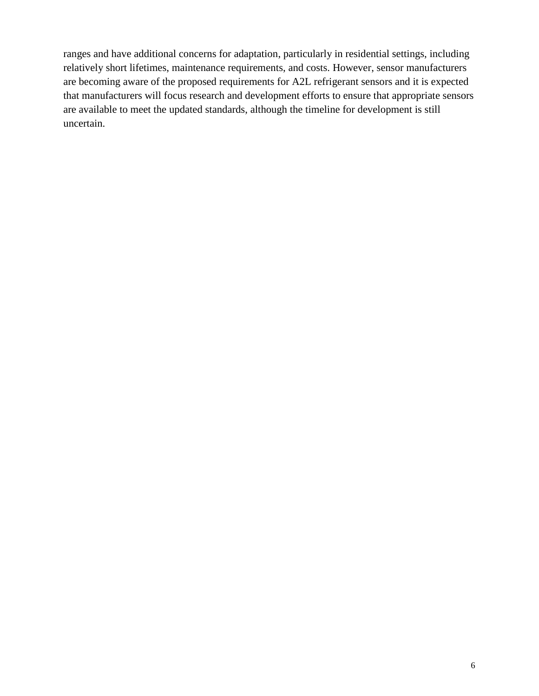ranges and have additional concerns for adaptation, particularly in residential settings, including relatively short lifetimes, maintenance requirements, and costs. However, sensor manufacturers are becoming aware of the proposed requirements for A2L refrigerant sensors and it is expected that manufacturers will focus research and development efforts to ensure that appropriate sensors are available to meet the updated standards, although the timeline for development is still uncertain.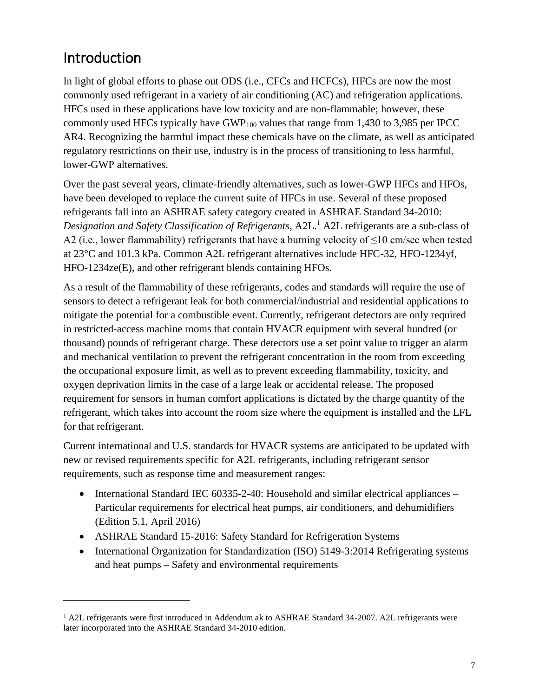# Introduction

 $\overline{a}$ 

In light of global efforts to phase out ODS (i.e., CFCs and HCFCs), HFCs are now the most commonly used refrigerant in a variety of air conditioning (AC) and refrigeration applications. HFCs used in these applications have low toxicity and are non-flammable; however, these commonly used HFCs typically have  $GWP_{100}$  values that range from 1,430 to 3,985 per IPCC AR4. Recognizing the harmful impact these chemicals have on the climate, as well as anticipated regulatory restrictions on their use, industry is in the process of transitioning to less harmful, lower-GWP alternatives.

Over the past several years, climate-friendly alternatives, such as lower-GWP HFCs and HFOs, have been developed to replace the current suite of HFCs in use. Several of these proposed refrigerants fall into an ASHRAE safety category created in ASHRAE Standard 34-2010: *Designation and Safety Classification of Refrigerants*, A2L. <sup>1</sup> A2L refrigerants are a sub-class of A2 (i.e., lower flammability) refrigerants that have a burning velocity of  $\leq$ 10 cm/sec when tested at 23°C and 101.3 kPa. Common A2L refrigerant alternatives include HFC-32, HFO-1234yf, HFO-1234ze(E), and other refrigerant blends containing HFOs.

As a result of the flammability of these refrigerants, codes and standards will require the use of sensors to detect a refrigerant leak for both commercial/industrial and residential applications to mitigate the potential for a combustible event. Currently, refrigerant detectors are only required in restricted-access machine rooms that contain HVACR equipment with several hundred (or thousand) pounds of refrigerant charge. These detectors use a set point value to trigger an alarm and mechanical ventilation to prevent the refrigerant concentration in the room from exceeding the occupational exposure limit, as well as to prevent exceeding flammability, toxicity, and oxygen deprivation limits in the case of a large leak or accidental release. The proposed requirement for sensors in human comfort applications is dictated by the charge quantity of the refrigerant, which takes into account the room size where the equipment is installed and the LFL for that refrigerant.

Current international and U.S. standards for HVACR systems are anticipated to be updated with new or revised requirements specific for A2L refrigerants, including refrigerant sensor requirements, such as response time and measurement ranges:

- International Standard IEC 60335-2-40: Household and similar electrical appliances Particular requirements for electrical heat pumps, air conditioners, and dehumidifiers (Edition 5.1, April 2016)
- ASHRAE Standard 15-2016: Safety Standard for Refrigeration Systems
- International Organization for Standardization (ISO) 5149-3:2014 Refrigerating systems and heat pumps – Safety and environmental requirements

<sup>&</sup>lt;sup>1</sup> A2L refrigerants were first introduced in Addendum ak to ASHRAE Standard 34-2007. A2L refrigerants were later incorporated into the ASHRAE Standard 34-2010 edition.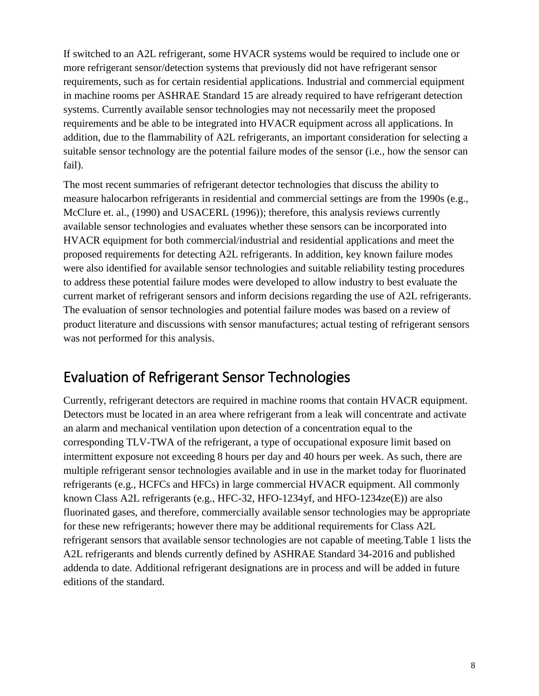If switched to an A2L refrigerant, some HVACR systems would be required to include one or more refrigerant sensor/detection systems that previously did not have refrigerant sensor requirements, such as for certain residential applications. Industrial and commercial equipment in machine rooms per ASHRAE Standard 15 are already required to have refrigerant detection systems. Currently available sensor technologies may not necessarily meet the proposed requirements and be able to be integrated into HVACR equipment across all applications. In addition, due to the flammability of A2L refrigerants, an important consideration for selecting a suitable sensor technology are the potential failure modes of the sensor (i.e., how the sensor can fail).

The most recent summaries of refrigerant detector technologies that discuss the ability to measure halocarbon refrigerants in residential and commercial settings are from the 1990s (e.g., McClure et. al., (1990) and USACERL (1996)); therefore, this analysis reviews currently available sensor technologies and evaluates whether these sensors can be incorporated into HVACR equipment for both commercial/industrial and residential applications and meet the proposed requirements for detecting A2L refrigerants. In addition, key known failure modes were also identified for available sensor technologies and suitable reliability testing procedures to address these potential failure modes were developed to allow industry to best evaluate the current market of refrigerant sensors and inform decisions regarding the use of A2L refrigerants. The evaluation of sensor technologies and potential failure modes was based on a review of product literature and discussions with sensor manufactures; actual testing of refrigerant sensors was not performed for this analysis.

## Evaluation of Refrigerant Sensor Technologies

Currently, refrigerant detectors are required in machine rooms that contain HVACR equipment. Detectors must be located in an area where refrigerant from a leak will concentrate and activate an alarm and mechanical ventilation upon detection of a concentration equal to the corresponding TLV-TWA of the refrigerant, a type of occupational exposure limit based on intermittent exposure not exceeding 8 hours per day and 40 hours per week. As such, there are multiple refrigerant sensor technologies available and in use in the market today for fluorinated refrigerants (e.g., HCFCs and HFCs) in large commercial HVACR equipment. All commonly known Class A2L refrigerants (e.g., HFC-32, HFO-1234yf, and HFO-1234ze(E)) are also fluorinated gases, and therefore, commercially available sensor technologies may be appropriate for these new refrigerants; however there may be additional requirements for Class A2L refrigerant sensors that available sensor technologies are not capable of meeting[.Table 1](#page-8-0) lists the A2L refrigerants and blends currently defined by ASHRAE Standard 34-2016 and published addenda to date. Additional refrigerant designations are in process and will be added in future editions of the standard.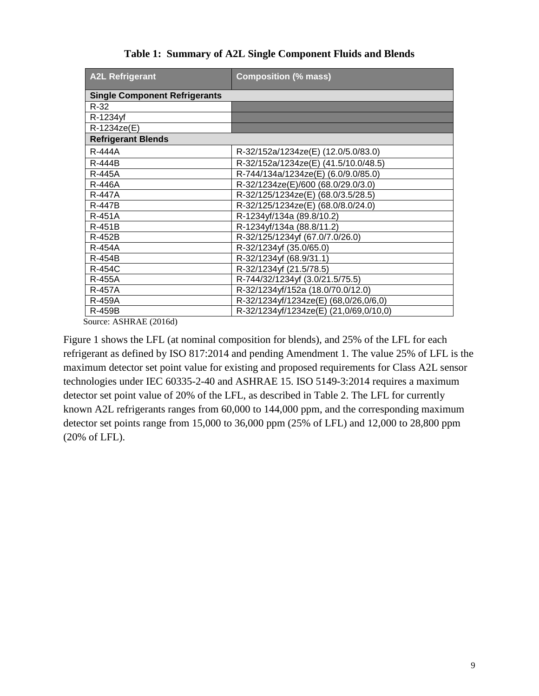<span id="page-8-0"></span>

| <b>A2L Refrigerant</b>               | <b>Composition (% mass)</b>            |
|--------------------------------------|----------------------------------------|
| <b>Single Component Refrigerants</b> |                                        |
| $R-32$                               |                                        |
| R-1234yf                             |                                        |
| R-1234ze(E)                          |                                        |
| <b>Refrigerant Blends</b>            |                                        |
| R-444A                               | R-32/152a/1234ze(E) (12.0/5.0/83.0)    |
| <b>R-444B</b>                        | R-32/152a/1234ze(E) (41.5/10.0/48.5)   |
| <b>R-445A</b>                        | R-744/134a/1234ze(E) (6.0/9.0/85.0)    |
| R-446A                               | R-32/1234ze(E)/600 (68.0/29.0/3.0)     |
| <b>R-447A</b>                        | R-32/125/1234ze(E) (68.0/3.5/28.5)     |
| <b>R-447B</b>                        | R-32/125/1234ze(E) (68.0/8.0/24.0)     |
| <b>R-451A</b>                        | R-1234yf/134a (89.8/10.2)              |
| R-451B                               | R-1234yf/134a (88.8/11.2)              |
| R-452B                               | R-32/125/1234yf (67.0/7.0/26.0)        |
| <b>R-454A</b>                        | R-32/1234yf (35.0/65.0)                |
| R-454B                               | R-32/1234yf (68.9/31.1)                |
| <b>R-454C</b>                        | R-32/1234yf (21.5/78.5)                |
| <b>R-455A</b>                        | R-744/32/1234yf (3.0/21.5/75.5)        |
| <b>R-457A</b>                        | R-32/1234yf/152a (18.0/70.0/12.0)      |
| <b>R-459A</b>                        | R-32/1234yf/1234ze(E) (68,0/26,0/6,0)  |
| <b>R-459B</b>                        | R-32/1234yf/1234ze(E) (21,0/69,0/10,0) |

**Table 1: Summary of A2L Single Component Fluids and Blends**

Source: ASHRAE (2016d)

Figure 1 shows the LFL (at nominal composition for blends), and 25% of the LFL for each refrigerant as defined by ISO 817:2014 and pending Amendment 1. The value 25% of LFL is the maximum detector set point value for existing and proposed requirements for Class A2L sensor technologies under IEC 60335-2-40 and ASHRAE 15. ISO 5149-3:2014 requires a maximum detector set point value of 20% of the LFL, as described in Table 2. The LFL for currently known A2L refrigerants ranges from 60,000 to 144,000 ppm, and the corresponding maximum detector set points range from 15,000 to 36,000 ppm (25% of LFL) and 12,000 to 28,800 ppm (20% of LFL).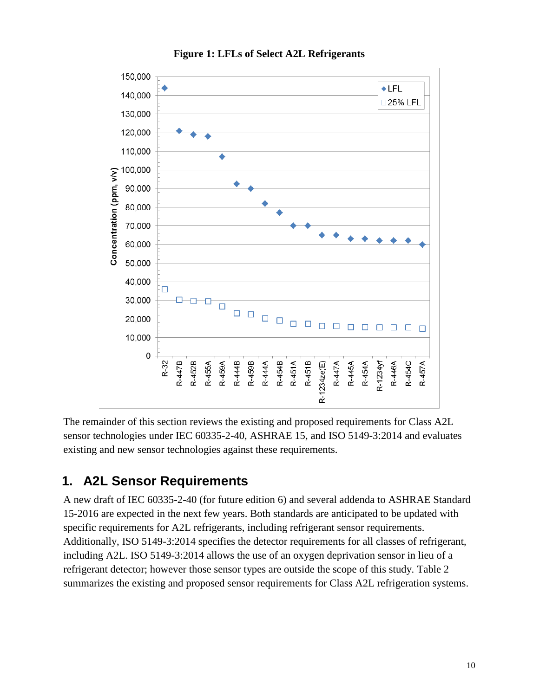

#### **Figure 1: LFLs of Select A2L Refrigerants**

The remainder of this section reviews the existing and proposed requirements for Class A2L sensor technologies under IEC 60335-2-40, ASHRAE 15, and ISO 5149-3:2014 and evaluates existing and new sensor technologies against these requirements.

## **1. A2L Sensor Requirements**

A new draft of IEC 60335-2-40 (for future edition 6) and several addenda to ASHRAE Standard 15-2016 are expected in the next few years. Both standards are anticipated to be updated with specific requirements for A2L refrigerants, including refrigerant sensor requirements. Additionally, ISO 5149-3:2014 specifies the detector requirements for all classes of refrigerant, including A2L. ISO 5149-3:2014 allows the use of an oxygen deprivation sensor in lieu of a refrigerant detector; however those sensor types are outside the scope of this study. Table 2 summarizes the existing and proposed sensor requirements for Class A2L refrigeration systems.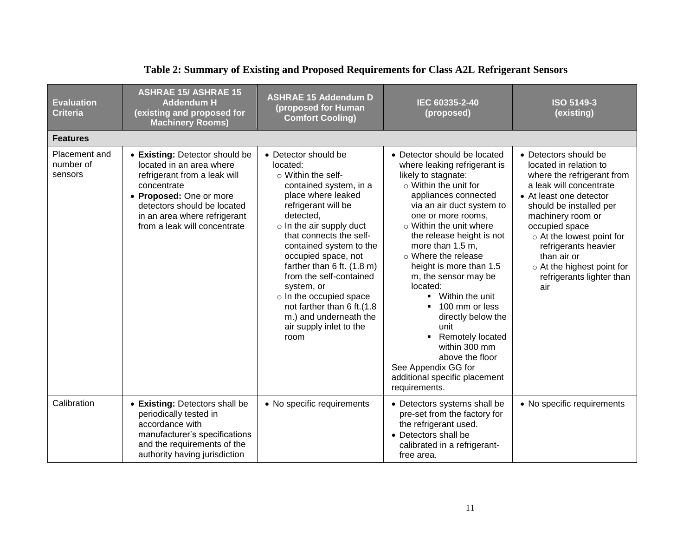| <b>Evaluation</b><br><b>Criteria</b>  | <b>ASHRAE 15/ ASHRAE 15</b><br><b>Addendum H</b><br>(existing and proposed for<br><b>Machinery Rooms)</b>                                                                                                                           | <b>ASHRAE 15 Addendum D</b><br>(proposed for Human<br><b>Comfort Cooling)</b>                                                                                                                                                                                                                                                                                                                                                                                | IEC 60335-2-40<br>(proposed)                                                                                                                                                                                                                                                                                                                                                                                                                                                                                                                                                                                             | <b>ISO 5149-3</b><br>(existing)                                                                                                                                                                                                                                                                                                             |
|---------------------------------------|-------------------------------------------------------------------------------------------------------------------------------------------------------------------------------------------------------------------------------------|--------------------------------------------------------------------------------------------------------------------------------------------------------------------------------------------------------------------------------------------------------------------------------------------------------------------------------------------------------------------------------------------------------------------------------------------------------------|--------------------------------------------------------------------------------------------------------------------------------------------------------------------------------------------------------------------------------------------------------------------------------------------------------------------------------------------------------------------------------------------------------------------------------------------------------------------------------------------------------------------------------------------------------------------------------------------------------------------------|---------------------------------------------------------------------------------------------------------------------------------------------------------------------------------------------------------------------------------------------------------------------------------------------------------------------------------------------|
| <b>Features</b>                       |                                                                                                                                                                                                                                     |                                                                                                                                                                                                                                                                                                                                                                                                                                                              |                                                                                                                                                                                                                                                                                                                                                                                                                                                                                                                                                                                                                          |                                                                                                                                                                                                                                                                                                                                             |
| Placement and<br>number of<br>sensors | • Existing: Detector should be<br>located in an area where<br>refrigerant from a leak will<br>concentrate<br>• Proposed: One or more<br>detectors should be located<br>in an area where refrigerant<br>from a leak will concentrate | • Detector should be<br>located:<br>$\circ$ Within the self-<br>contained system, in a<br>place where leaked<br>refrigerant will be<br>detected,<br>$\circ$ In the air supply duct<br>that connects the self-<br>contained system to the<br>occupied space, not<br>farther than 6 ft. (1.8 m)<br>from the self-contained<br>system, or<br>o In the occupied space<br>not farther than 6 ft.(1.8<br>m.) and underneath the<br>air supply inlet to the<br>room | • Detector should be located<br>where leaking refrigerant is<br>likely to stagnate:<br>$\circ$ Within the unit for<br>appliances connected<br>via an air duct system to<br>one or more rooms,<br>$\circ$ Within the unit where<br>the release height is not<br>more than 1.5 m,<br>$\circ$ Where the release<br>height is more than 1.5<br>m, the sensor may be<br>located:<br>Within the unit<br>$\blacksquare$<br>100 mm or less<br>٠<br>directly below the<br>unit<br>Remotely located<br>$\blacksquare$<br>within 300 mm<br>above the floor<br>See Appendix GG for<br>additional specific placement<br>requirements. | • Detectors should be<br>located in relation to<br>where the refrigerant from<br>a leak will concentrate<br>• At least one detector<br>should be installed per<br>machinery room or<br>occupied space<br>o At the lowest point for<br>refrigerants heavier<br>than air or<br>o At the highest point for<br>refrigerants lighter than<br>air |
| Calibration                           | • Existing: Detectors shall be<br>periodically tested in<br>accordance with<br>manufacturer's specifications<br>and the requirements of the<br>authority having jurisdiction                                                        | • No specific requirements                                                                                                                                                                                                                                                                                                                                                                                                                                   | • Detectors systems shall be<br>pre-set from the factory for<br>the refrigerant used.<br>• Detectors shall be<br>calibrated in a refrigerant-<br>free area.                                                                                                                                                                                                                                                                                                                                                                                                                                                              | • No specific requirements                                                                                                                                                                                                                                                                                                                  |

## **Table 2: Summary of Existing and Proposed Requirements for Class A2L Refrigerant Sensors**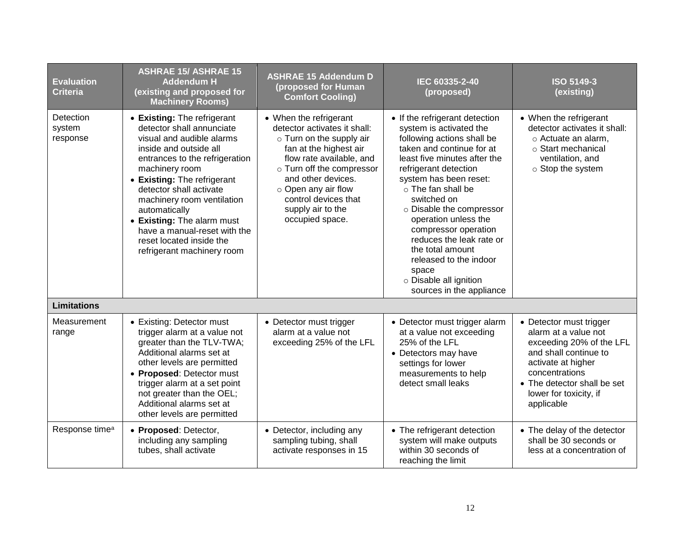| <b>Evaluation</b><br><b>Criteria</b> | <b>ASHRAE 15/ ASHRAE 15</b><br><b>Addendum H</b><br>(existing and proposed for<br><b>Machinery Rooms)</b>                                                                                                                                                                                                                                                                                            | <b>ASHRAE 15 Addendum D</b><br>(proposed for Human<br><b>Comfort Cooling)</b>                                                                                                                                                                                                            | IEC 60335-2-40<br>(proposed)                                                                                                                                                                                                                                                                                                                                                                                                                                            | <b>ISO 5149-3</b><br>(existing)                                                                                                                                                                                     |
|--------------------------------------|------------------------------------------------------------------------------------------------------------------------------------------------------------------------------------------------------------------------------------------------------------------------------------------------------------------------------------------------------------------------------------------------------|------------------------------------------------------------------------------------------------------------------------------------------------------------------------------------------------------------------------------------------------------------------------------------------|-------------------------------------------------------------------------------------------------------------------------------------------------------------------------------------------------------------------------------------------------------------------------------------------------------------------------------------------------------------------------------------------------------------------------------------------------------------------------|---------------------------------------------------------------------------------------------------------------------------------------------------------------------------------------------------------------------|
| Detection<br>system<br>response      | • Existing: The refrigerant<br>detector shall annunciate<br>visual and audible alarms<br>inside and outside all<br>entrances to the refrigeration<br>machinery room<br>• Existing: The refrigerant<br>detector shall activate<br>machinery room ventilation<br>automatically<br>• Existing: The alarm must<br>have a manual-reset with the<br>reset located inside the<br>refrigerant machinery room | • When the refrigerant<br>detector activates it shall:<br>o Turn on the supply air<br>fan at the highest air<br>flow rate available, and<br>o Turn off the compressor<br>and other devices.<br>$\circ$ Open any air flow<br>control devices that<br>supply air to the<br>occupied space. | • If the refrigerant detection<br>system is activated the<br>following actions shall be<br>taken and continue for at<br>least five minutes after the<br>refrigerant detection<br>system has been reset:<br>$\circ$ The fan shall be<br>switched on<br>o Disable the compressor<br>operation unless the<br>compressor operation<br>reduces the leak rate or<br>the total amount<br>released to the indoor<br>space<br>o Disable all ignition<br>sources in the appliance | • When the refrigerant<br>detector activates it shall:<br>o Actuate an alarm,<br>○ Start mechanical<br>ventilation, and<br>$\circ$ Stop the system                                                                  |
| <b>Limitations</b>                   |                                                                                                                                                                                                                                                                                                                                                                                                      |                                                                                                                                                                                                                                                                                          |                                                                                                                                                                                                                                                                                                                                                                                                                                                                         |                                                                                                                                                                                                                     |
| Measurement<br>range                 | • Existing: Detector must<br>trigger alarm at a value not<br>greater than the TLV-TWA;<br>Additional alarms set at<br>other levels are permitted<br>• Proposed: Detector must<br>trigger alarm at a set point<br>not greater than the OEL;<br>Additional alarms set at<br>other levels are permitted                                                                                                 | • Detector must trigger<br>alarm at a value not<br>exceeding 25% of the LFL                                                                                                                                                                                                              | • Detector must trigger alarm<br>at a value not exceeding<br>25% of the LFL<br>• Detectors may have<br>settings for lower<br>measurements to help<br>detect small leaks                                                                                                                                                                                                                                                                                                 | • Detector must trigger<br>alarm at a value not<br>exceeding 20% of the LFL<br>and shall continue to<br>activate at higher<br>concentrations<br>• The detector shall be set<br>lower for toxicity, if<br>applicable |
| Response time <sup>a</sup>           | • Proposed: Detector,<br>including any sampling<br>tubes, shall activate                                                                                                                                                                                                                                                                                                                             | • Detector, including any<br>sampling tubing, shall<br>activate responses in 15                                                                                                                                                                                                          | • The refrigerant detection<br>system will make outputs<br>within 30 seconds of<br>reaching the limit                                                                                                                                                                                                                                                                                                                                                                   | • The delay of the detector<br>shall be 30 seconds or<br>less at a concentration of                                                                                                                                 |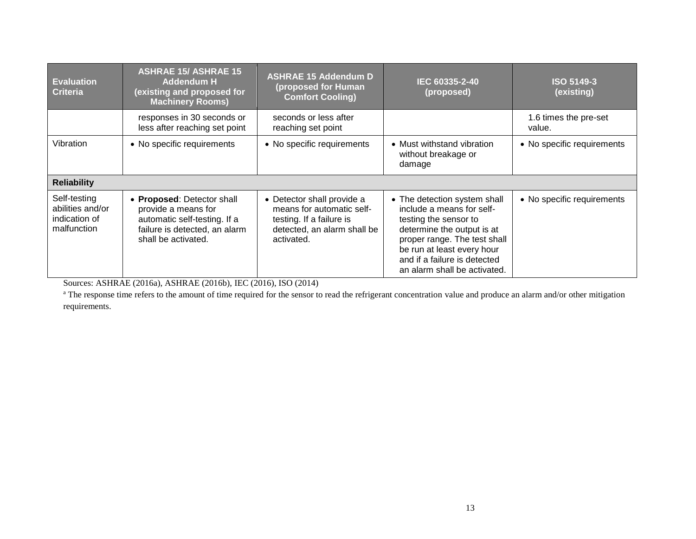| <b>Evaluation</b><br><b>Criteria</b>                             | <b>ASHRAE 15/ ASHRAE 15</b><br><b>Addendum H</b><br>(existing and proposed for<br><b>Machinery Rooms)</b>                                 | <b>ASHRAE 15 Addendum D</b><br>(proposed for Human<br><b>Comfort Cooling)</b>                                                    | IEC 60335-2-40<br>(proposed)                                                                                                                                                                                                                   | <b>ISO 5149-3</b><br>(existing) |
|------------------------------------------------------------------|-------------------------------------------------------------------------------------------------------------------------------------------|----------------------------------------------------------------------------------------------------------------------------------|------------------------------------------------------------------------------------------------------------------------------------------------------------------------------------------------------------------------------------------------|---------------------------------|
|                                                                  | responses in 30 seconds or<br>less after reaching set point                                                                               | seconds or less after<br>reaching set point                                                                                      |                                                                                                                                                                                                                                                | 1.6 times the pre-set<br>value. |
| Vibration                                                        | • No specific requirements                                                                                                                | • No specific requirements                                                                                                       | • Must withstand vibration<br>without breakage or<br>damage                                                                                                                                                                                    | • No specific requirements      |
| <b>Reliability</b>                                               |                                                                                                                                           |                                                                                                                                  |                                                                                                                                                                                                                                                |                                 |
| Self-testing<br>abilities and/or<br>indication of<br>malfunction | • Proposed: Detector shall<br>provide a means for<br>automatic self-testing. If a<br>failure is detected, an alarm<br>shall be activated. | • Detector shall provide a<br>means for automatic self-<br>testing. If a failure is<br>detected, an alarm shall be<br>activated. | • The detection system shall<br>include a means for self-<br>testing the sensor to<br>determine the output is at<br>proper range. The test shall<br>be run at least every hour<br>and if a failure is detected<br>an alarm shall be activated. | • No specific requirements      |

Sources: ASHRAE (2016a), ASHRAE (2016b), IEC (2016), ISO (2014)

<sup>a</sup> The response time refers to the amount of time required for the sensor to read the refrigerant concentration value and produce an alarm and/or other mitigation requirements.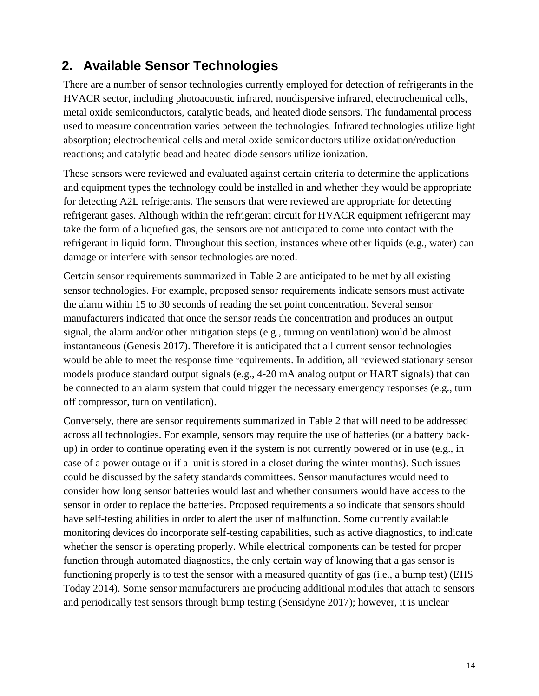## **2. Available Sensor Technologies**

There are a number of sensor technologies currently employed for detection of refrigerants in the HVACR sector, including photoacoustic infrared, nondispersive infrared, electrochemical cells, metal oxide semiconductors, catalytic beads, and heated diode sensors. The fundamental process used to measure concentration varies between the technologies. Infrared technologies utilize light absorption; electrochemical cells and metal oxide semiconductors utilize oxidation/reduction reactions; and catalytic bead and heated diode sensors utilize ionization.

These sensors were reviewed and evaluated against certain criteria to determine the applications and equipment types the technology could be installed in and whether they would be appropriate for detecting A2L refrigerants. The sensors that were reviewed are appropriate for detecting refrigerant gases. Although within the refrigerant circuit for HVACR equipment refrigerant may take the form of a liquefied gas, the sensors are not anticipated to come into contact with the refrigerant in liquid form. Throughout this section, instances where other liquids (e.g., water) can damage or interfere with sensor technologies are noted.

Certain sensor requirements summarized in Table 2 are anticipated to be met by all existing sensor technologies. For example, proposed sensor requirements indicate sensors must activate the alarm within 15 to 30 seconds of reading the set point concentration. Several sensor manufacturers indicated that once the sensor reads the concentration and produces an output signal, the alarm and/or other mitigation steps (e.g., turning on ventilation) would be almost instantaneous (Genesis 2017). Therefore it is anticipated that all current sensor technologies would be able to meet the response time requirements. In addition, all reviewed stationary sensor models produce standard output signals (e.g., 4-20 mA analog output or HART signals) that can be connected to an alarm system that could trigger the necessary emergency responses (e.g., turn off compressor, turn on ventilation).

Conversely, there are sensor requirements summarized in Table 2 that will need to be addressed across all technologies. For example, sensors may require the use of batteries (or a battery backup) in order to continue operating even if the system is not currently powered or in use (e.g., in case of a power outage or if a unit is stored in a closet during the winter months). Such issues could be discussed by the safety standards committees. Sensor manufactures would need to consider how long sensor batteries would last and whether consumers would have access to the sensor in order to replace the batteries. Proposed requirements also indicate that sensors should have self-testing abilities in order to alert the user of malfunction. Some currently available monitoring devices do incorporate self-testing capabilities, such as active diagnostics, to indicate whether the sensor is operating properly. While electrical components can be tested for proper function through automated diagnostics, the only certain way of knowing that a gas sensor is functioning properly is to test the sensor with a measured quantity of gas (i.e., a bump test) (EHS Today 2014). Some sensor manufacturers are producing additional modules that attach to sensors and periodically test sensors through bump testing (Sensidyne 2017); however, it is unclear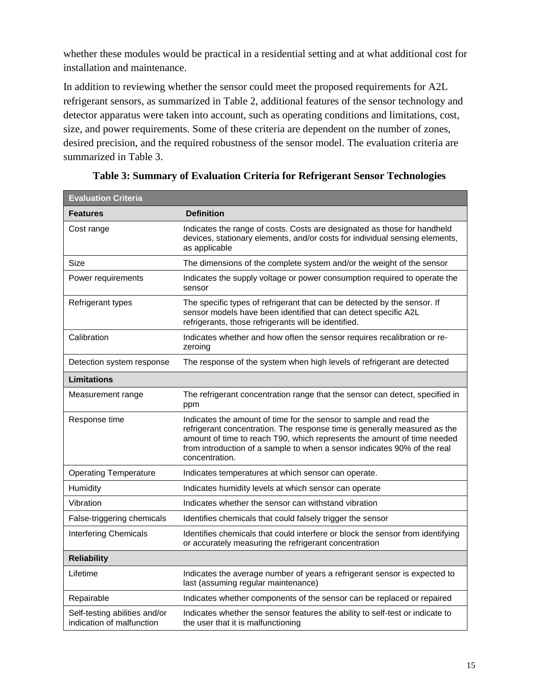whether these modules would be practical in a residential setting and at what additional cost for installation and maintenance.

In addition to reviewing whether the sensor could meet the proposed requirements for A2L refrigerant sensors, as summarized in Table 2, additional features of the sensor technology and detector apparatus were taken into account, such as operating conditions and limitations, cost, size, and power requirements. Some of these criteria are dependent on the number of zones, desired precision, and the required robustness of the sensor model. The evaluation criteria are summarized in Table 3.

| <b>Evaluation Criteria</b>                                 |                                                                                                                                                                                                                                                                                                                          |
|------------------------------------------------------------|--------------------------------------------------------------------------------------------------------------------------------------------------------------------------------------------------------------------------------------------------------------------------------------------------------------------------|
| <b>Features</b>                                            | <b>Definition</b>                                                                                                                                                                                                                                                                                                        |
| Cost range                                                 | Indicates the range of costs. Costs are designated as those for handheld<br>devices, stationary elements, and/or costs for individual sensing elements,<br>as applicable                                                                                                                                                 |
| Size                                                       | The dimensions of the complete system and/or the weight of the sensor                                                                                                                                                                                                                                                    |
| Power requirements                                         | Indicates the supply voltage or power consumption required to operate the<br>sensor                                                                                                                                                                                                                                      |
| Refrigerant types                                          | The specific types of refrigerant that can be detected by the sensor. If<br>sensor models have been identified that can detect specific A2L<br>refrigerants, those refrigerants will be identified.                                                                                                                      |
| Calibration                                                | Indicates whether and how often the sensor requires recalibration or re-<br>zeroing                                                                                                                                                                                                                                      |
| Detection system response                                  | The response of the system when high levels of refrigerant are detected                                                                                                                                                                                                                                                  |
| <b>Limitations</b>                                         |                                                                                                                                                                                                                                                                                                                          |
| Measurement range                                          | The refrigerant concentration range that the sensor can detect, specified in<br>ppm                                                                                                                                                                                                                                      |
| Response time                                              | Indicates the amount of time for the sensor to sample and read the<br>refrigerant concentration. The response time is generally measured as the<br>amount of time to reach T90, which represents the amount of time needed<br>from introduction of a sample to when a sensor indicates 90% of the real<br>concentration. |
| <b>Operating Temperature</b>                               | Indicates temperatures at which sensor can operate.                                                                                                                                                                                                                                                                      |
| Humidity                                                   | Indicates humidity levels at which sensor can operate                                                                                                                                                                                                                                                                    |
| Vibration                                                  | Indicates whether the sensor can withstand vibration                                                                                                                                                                                                                                                                     |
| False-triggering chemicals                                 | Identifies chemicals that could falsely trigger the sensor                                                                                                                                                                                                                                                               |
| <b>Interfering Chemicals</b>                               | Identifies chemicals that could interfere or block the sensor from identifying<br>or accurately measuring the refrigerant concentration                                                                                                                                                                                  |
| <b>Reliability</b>                                         |                                                                                                                                                                                                                                                                                                                          |
| Lifetime                                                   | Indicates the average number of years a refrigerant sensor is expected to<br>last (assuming regular maintenance)                                                                                                                                                                                                         |
| Repairable                                                 | Indicates whether components of the sensor can be replaced or repaired                                                                                                                                                                                                                                                   |
| Self-testing abilities and/or<br>indication of malfunction | Indicates whether the sensor features the ability to self-test or indicate to<br>the user that it is malfunctioning                                                                                                                                                                                                      |

**Table 3: Summary of Evaluation Criteria for Refrigerant Sensor Technologies**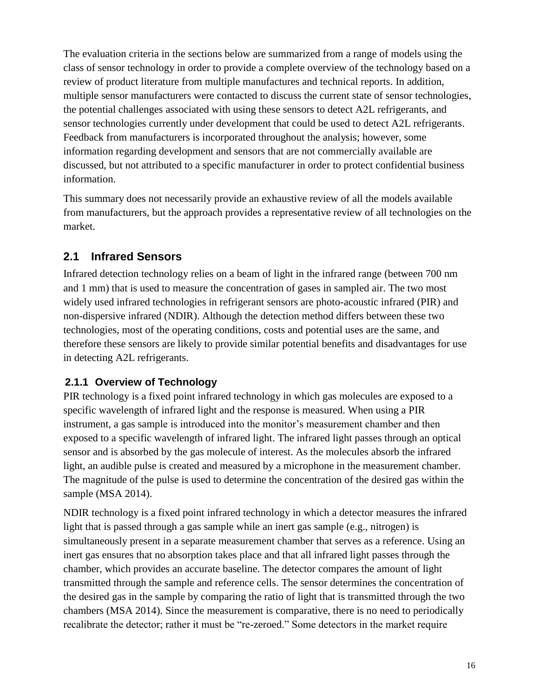The evaluation criteria in the sections below are summarized from a range of models using the class of sensor technology in order to provide a complete overview of the technology based on a review of product literature from multiple manufactures and technical reports. In addition, multiple sensor manufacturers were contacted to discuss the current state of sensor technologies, the potential challenges associated with using these sensors to detect A2L refrigerants, and sensor technologies currently under development that could be used to detect A2L refrigerants. Feedback from manufacturers is incorporated throughout the analysis; however, some information regarding development and sensors that are not commercially available are discussed, but not attributed to a specific manufacturer in order to protect confidential business information.

This summary does not necessarily provide an exhaustive review of all the models available from manufacturers, but the approach provides a representative review of all technologies on the market.

## **2.1 Infrared Sensors**

Infrared detection technology relies on a beam of light in the infrared range (between 700 nm and 1 mm) that is used to measure the concentration of gases in sampled air. The two most widely used infrared technologies in refrigerant sensors are photo-acoustic infrared (PIR) and non-dispersive infrared (NDIR). Although the detection method differs between these two technologies, most of the operating conditions, costs and potential uses are the same, and therefore these sensors are likely to provide similar potential benefits and disadvantages for use in detecting A2L refrigerants.

### **2.1.1 Overview of Technology**

PIR technology is a fixed point infrared technology in which gas molecules are exposed to a specific wavelength of infrared light and the response is measured. When using a PIR instrument, a gas sample is introduced into the monitor's measurement chamber and then exposed to a specific wavelength of infrared light. The infrared light passes through an optical sensor and is absorbed by the gas molecule of interest. As the molecules absorb the infrared light, an audible pulse is created and measured by a microphone in the measurement chamber. The magnitude of the pulse is used to determine the concentration of the desired gas within the sample (MSA 2014).

NDIR technology is a fixed point infrared technology in which a detector measures the infrared light that is passed through a gas sample while an inert gas sample (e.g., nitrogen) is simultaneously present in a separate measurement chamber that serves as a reference. Using an inert gas ensures that no absorption takes place and that all infrared light passes through the chamber, which provides an accurate baseline. The detector compares the amount of light transmitted through the sample and reference cells. The sensor determines the concentration of the desired gas in the sample by comparing the ratio of light that is transmitted through the two chambers (MSA 2014). Since the measurement is comparative, there is no need to periodically recalibrate the detector; rather it must be "re-zeroed." Some detectors in the market require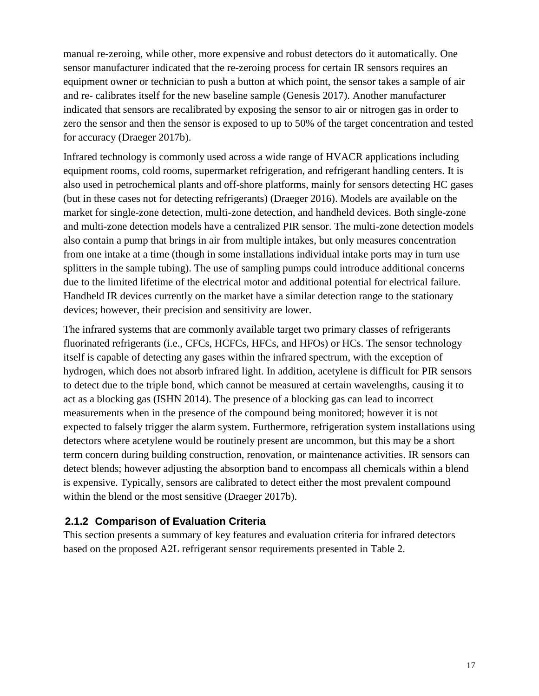manual re-zeroing, while other, more expensive and robust detectors do it automatically. One sensor manufacturer indicated that the re-zeroing process for certain IR sensors requires an equipment owner or technician to push a button at which point, the sensor takes a sample of air and re- calibrates itself for the new baseline sample (Genesis 2017). Another manufacturer indicated that sensors are recalibrated by exposing the sensor to air or nitrogen gas in order to zero the sensor and then the sensor is exposed to up to 50% of the target concentration and tested for accuracy (Draeger 2017b).

Infrared technology is commonly used across a wide range of HVACR applications including equipment rooms, cold rooms, supermarket refrigeration, and refrigerant handling centers. It is also used in petrochemical plants and off-shore platforms, mainly for sensors detecting HC gases (but in these cases not for detecting refrigerants) (Draeger 2016). Models are available on the market for single-zone detection, multi-zone detection, and handheld devices. Both single-zone and multi-zone detection models have a centralized PIR sensor. The multi-zone detection models also contain a pump that brings in air from multiple intakes, but only measures concentration from one intake at a time (though in some installations individual intake ports may in turn use splitters in the sample tubing). The use of sampling pumps could introduce additional concerns due to the limited lifetime of the electrical motor and additional potential for electrical failure. Handheld IR devices currently on the market have a similar detection range to the stationary devices; however, their precision and sensitivity are lower.

The infrared systems that are commonly available target two primary classes of refrigerants fluorinated refrigerants (i.e., CFCs, HCFCs, HFCs, and HFOs) or HCs. The sensor technology itself is capable of detecting any gases within the infrared spectrum, with the exception of hydrogen, which does not absorb infrared light. In addition, acetylene is difficult for PIR sensors to detect due to the triple bond, which cannot be measured at certain wavelengths, causing it to act as a blocking gas (ISHN 2014). The presence of a blocking gas can lead to incorrect measurements when in the presence of the compound being monitored; however it is not expected to falsely trigger the alarm system. Furthermore, refrigeration system installations using detectors where acetylene would be routinely present are uncommon, but this may be a short term concern during building construction, renovation, or maintenance activities. IR sensors can detect blends; however adjusting the absorption band to encompass all chemicals within a blend is expensive. Typically, sensors are calibrated to detect either the most prevalent compound within the blend or the most sensitive (Draeger 2017b).

#### **2.1.2 Comparison of Evaluation Criteria**

This section presents a summary of key features and evaluation criteria for infrared detectors based on the proposed A2L refrigerant sensor requirements presented in Table 2.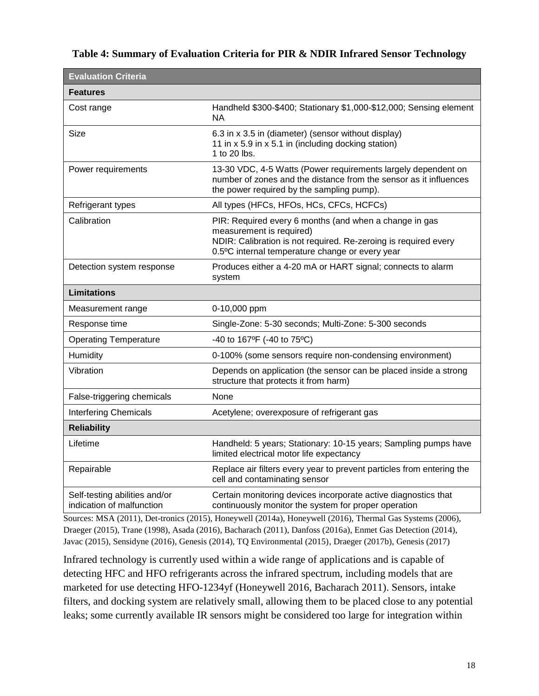#### **Table 4: Summary of Evaluation Criteria for PIR & NDIR Infrared Sensor Technology**

| <b>Evaluation Criteria</b>                                 |                                                                                                                                                                                                          |
|------------------------------------------------------------|----------------------------------------------------------------------------------------------------------------------------------------------------------------------------------------------------------|
| <b>Features</b>                                            |                                                                                                                                                                                                          |
| Cost range                                                 | Handheld \$300-\$400; Stationary \$1,000-\$12,000; Sensing element<br>NА                                                                                                                                 |
| Size                                                       | 6.3 in x 3.5 in (diameter) (sensor without display)<br>11 in x 5.9 in x 5.1 in (including docking station)<br>1 to 20 lbs.                                                                               |
| Power requirements                                         | 13-30 VDC, 4-5 Watts (Power requirements largely dependent on<br>number of zones and the distance from the sensor as it influences<br>the power required by the sampling pump).                          |
| Refrigerant types                                          | All types (HFCs, HFOs, HCs, CFCs, HCFCs)                                                                                                                                                                 |
| Calibration                                                | PIR: Required every 6 months (and when a change in gas<br>measurement is required)<br>NDIR: Calibration is not required. Re-zeroing is required every<br>0.5°C internal temperature change or every year |
| Detection system response                                  | Produces either a 4-20 mA or HART signal; connects to alarm<br>system                                                                                                                                    |
| <b>Limitations</b>                                         |                                                                                                                                                                                                          |
| Measurement range                                          | 0-10,000 ppm                                                                                                                                                                                             |
| Response time                                              | Single-Zone: 5-30 seconds; Multi-Zone: 5-300 seconds                                                                                                                                                     |
| <b>Operating Temperature</b>                               | -40 to 167°F (-40 to 75°C)                                                                                                                                                                               |
| Humidity                                                   | 0-100% (some sensors require non-condensing environment)                                                                                                                                                 |
| Vibration                                                  | Depends on application (the sensor can be placed inside a strong<br>structure that protects it from harm)                                                                                                |
| False-triggering chemicals                                 | None                                                                                                                                                                                                     |
| <b>Interfering Chemicals</b>                               | Acetylene; overexposure of refrigerant gas                                                                                                                                                               |
| <b>Reliability</b>                                         |                                                                                                                                                                                                          |
| Lifetime                                                   | Handheld: 5 years; Stationary: 10-15 years; Sampling pumps have<br>limited electrical motor life expectancy                                                                                              |
| Repairable                                                 | Replace air filters every year to prevent particles from entering the<br>cell and contaminating sensor                                                                                                   |
| Self-testing abilities and/or<br>indication of malfunction | Certain monitoring devices incorporate active diagnostics that<br>continuously monitor the system for proper operation                                                                                   |

Sources: MSA (2011), Det-tronics (2015), Honeywell (2014a), Honeywell (2016), Thermal Gas Systems (2006), Draeger (2015), Trane (1998), Asada (2016), Bacharach (2011), Danfoss (2016a), Enmet Gas Detection (2014), Javac (2015), Sensidyne (2016), Genesis (2014), TQ Environmental (2015), Draeger (2017b), Genesis (2017)

Infrared technology is currently used within a wide range of applications and is capable of detecting HFC and HFO refrigerants across the infrared spectrum, including models that are marketed for use detecting HFO-1234yf (Honeywell 2016, Bacharach 2011). Sensors, intake filters, and docking system are relatively small, allowing them to be placed close to any potential leaks; some currently available IR sensors might be considered too large for integration within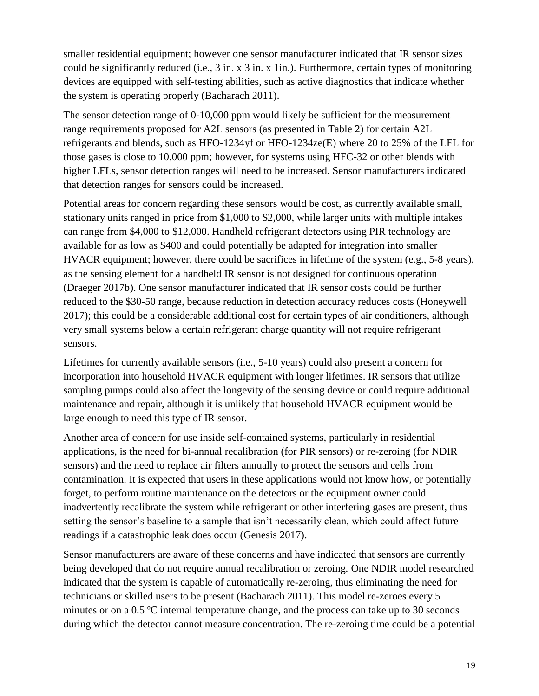smaller residential equipment; however one sensor manufacturer indicated that IR sensor sizes could be significantly reduced (i.e., 3 in. x 3 in. x 1in.). Furthermore, certain types of monitoring devices are equipped with self-testing abilities, such as active diagnostics that indicate whether the system is operating properly (Bacharach 2011).

The sensor detection range of 0-10,000 ppm would likely be sufficient for the measurement range requirements proposed for A2L sensors (as presented in Table 2) for certain A2L refrigerants and blends, such as HFO-1234yf or HFO-1234ze(E) where 20 to 25% of the LFL for those gases is close to 10,000 ppm; however, for systems using HFC-32 or other blends with higher LFLs, sensor detection ranges will need to be increased. Sensor manufacturers indicated that detection ranges for sensors could be increased.

Potential areas for concern regarding these sensors would be cost, as currently available small, stationary units ranged in price from \$1,000 to \$2,000, while larger units with multiple intakes can range from \$4,000 to \$12,000. Handheld refrigerant detectors using PIR technology are available for as low as \$400 and could potentially be adapted for integration into smaller HVACR equipment; however, there could be sacrifices in lifetime of the system (e.g., 5-8 years), as the sensing element for a handheld IR sensor is not designed for continuous operation (Draeger 2017b). One sensor manufacturer indicated that IR sensor costs could be further reduced to the \$30-50 range, because reduction in detection accuracy reduces costs (Honeywell 2017); this could be a considerable additional cost for certain types of air conditioners, although very small systems below a certain refrigerant charge quantity will not require refrigerant sensors.

Lifetimes for currently available sensors (i.e., 5-10 years) could also present a concern for incorporation into household HVACR equipment with longer lifetimes. IR sensors that utilize sampling pumps could also affect the longevity of the sensing device or could require additional maintenance and repair, although it is unlikely that household HVACR equipment would be large enough to need this type of IR sensor.

Another area of concern for use inside self-contained systems, particularly in residential applications, is the need for bi-annual recalibration (for PIR sensors) or re-zeroing (for NDIR sensors) and the need to replace air filters annually to protect the sensors and cells from contamination. It is expected that users in these applications would not know how, or potentially forget, to perform routine maintenance on the detectors or the equipment owner could inadvertently recalibrate the system while refrigerant or other interfering gases are present, thus setting the sensor's baseline to a sample that isn't necessarily clean, which could affect future readings if a catastrophic leak does occur (Genesis 2017).

Sensor manufacturers are aware of these concerns and have indicated that sensors are currently being developed that do not require annual recalibration or zeroing. One NDIR model researched indicated that the system is capable of automatically re-zeroing, thus eliminating the need for technicians or skilled users to be present (Bacharach 2011). This model re-zeroes every 5 minutes or on a 0.5 °C internal temperature change, and the process can take up to 30 seconds during which the detector cannot measure concentration. The re-zeroing time could be a potential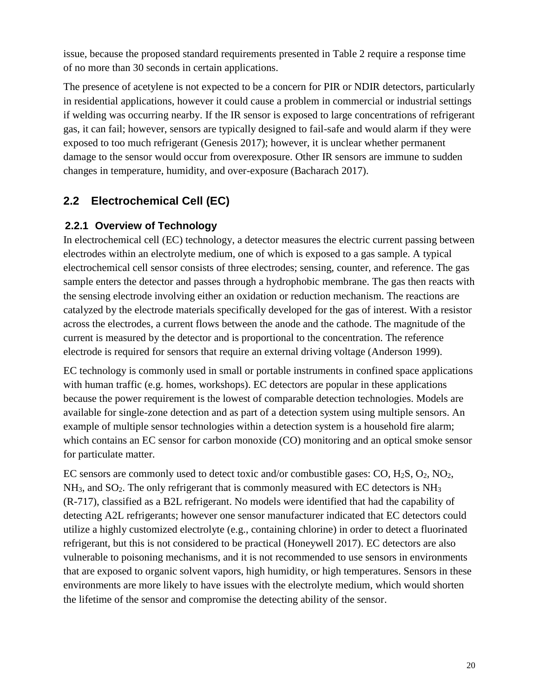issue, because the proposed standard requirements presented in Table 2 require a response time of no more than 30 seconds in certain applications.

The presence of acetylene is not expected to be a concern for PIR or NDIR detectors, particularly in residential applications, however it could cause a problem in commercial or industrial settings if welding was occurring nearby. If the IR sensor is exposed to large concentrations of refrigerant gas, it can fail; however, sensors are typically designed to fail-safe and would alarm if they were exposed to too much refrigerant (Genesis 2017); however, it is unclear whether permanent damage to the sensor would occur from overexposure. Other IR sensors are immune to sudden changes in temperature, humidity, and over-exposure (Bacharach 2017).

## **2.2 Electrochemical Cell (EC)**

### **2.2.1 Overview of Technology**

In electrochemical cell (EC) technology, a detector measures the electric current passing between electrodes within an electrolyte medium, one of which is exposed to a gas sample. A typical electrochemical cell sensor consists of three electrodes; sensing, counter, and reference. The gas sample enters the detector and passes through a hydrophobic membrane. The gas then reacts with the sensing electrode involving either an oxidation or reduction mechanism. The reactions are catalyzed by the electrode materials specifically developed for the gas of interest. With a resistor across the electrodes, a current flows between the anode and the cathode. The magnitude of the current is measured by the detector and is proportional to the concentration. The reference electrode is required for sensors that require an external driving voltage (Anderson 1999).

EC technology is commonly used in small or portable instruments in confined space applications with human traffic (e.g. homes, workshops). EC detectors are popular in these applications because the power requirement is the lowest of comparable detection technologies. Models are available for single-zone detection and as part of a detection system using multiple sensors. An example of multiple sensor technologies within a detection system is a household fire alarm; which contains an EC sensor for carbon monoxide (CO) monitoring and an optical smoke sensor for particulate matter.

EC sensors are commonly used to detect toxic and/or combustible gases: CO, H2S, O2, NO2,  $NH<sub>3</sub>$ , and  $SO<sub>2</sub>$ . The only refrigerant that is commonly measured with EC detectors is NH<sub>3</sub> (R-717), classified as a B2L refrigerant. No models were identified that had the capability of detecting A2L refrigerants; however one sensor manufacturer indicated that EC detectors could utilize a highly customized electrolyte (e.g., containing chlorine) in order to detect a fluorinated refrigerant, but this is not considered to be practical (Honeywell 2017). EC detectors are also vulnerable to poisoning mechanisms, and it is not recommended to use sensors in environments that are exposed to organic solvent vapors, high humidity, or high temperatures. Sensors in these environments are more likely to have issues with the electrolyte medium, which would shorten the lifetime of the sensor and compromise the detecting ability of the sensor.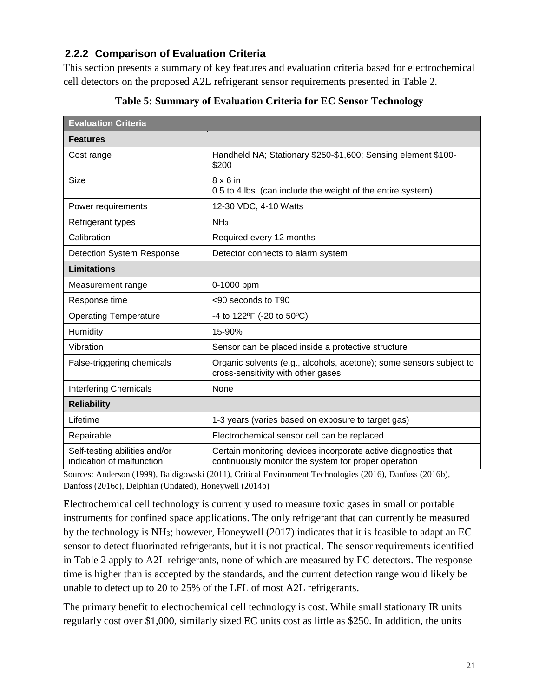### **2.2.2 Comparison of Evaluation Criteria**

This section presents a summary of key features and evaluation criteria based for electrochemical cell detectors on the proposed A2L refrigerant sensor requirements presented in Table 2.

| <b>Evaluation Criteria</b>                                 |                                                                                                                        |
|------------------------------------------------------------|------------------------------------------------------------------------------------------------------------------------|
| <b>Features</b>                                            |                                                                                                                        |
| Cost range                                                 | Handheld NA; Stationary \$250-\$1,600; Sensing element \$100-<br>\$200                                                 |
| Size                                                       | $8 \times 6$ in<br>0.5 to 4 lbs. (can include the weight of the entire system)                                         |
| Power requirements                                         | 12-30 VDC, 4-10 Watts                                                                                                  |
| Refrigerant types                                          | NH <sub>3</sub>                                                                                                        |
| Calibration                                                | Required every 12 months                                                                                               |
| <b>Detection System Response</b>                           | Detector connects to alarm system                                                                                      |
| <b>Limitations</b>                                         |                                                                                                                        |
| Measurement range                                          | 0-1000 ppm                                                                                                             |
| Response time                                              | <90 seconds to T90                                                                                                     |
| <b>Operating Temperature</b>                               | -4 to $122^{\circ}F$ (-20 to $50^{\circ}C$ )                                                                           |
| Humidity                                                   | 15-90%                                                                                                                 |
| Vibration                                                  | Sensor can be placed inside a protective structure                                                                     |
| False-triggering chemicals                                 | Organic solvents (e.g., alcohols, acetone); some sensors subject to<br>cross-sensitivity with other gases              |
| <b>Interfering Chemicals</b>                               | None                                                                                                                   |
| <b>Reliability</b>                                         |                                                                                                                        |
| Lifetime                                                   | 1-3 years (varies based on exposure to target gas)                                                                     |
| Repairable                                                 | Electrochemical sensor cell can be replaced                                                                            |
| Self-testing abilities and/or<br>indication of malfunction | Certain monitoring devices incorporate active diagnostics that<br>continuously monitor the system for proper operation |

#### **Table 5: Summary of Evaluation Criteria for EC Sensor Technology**

Sources: Anderson (1999), Baldigowski (2011), Critical Environment Technologies (2016), Danfoss (2016b), Danfoss (2016c), Delphian (Undated), Honeywell (2014b)

Electrochemical cell technology is currently used to measure toxic gases in small or portable instruments for confined space applications. The only refrigerant that can currently be measured by the technology is NH3; however, Honeywell (2017) indicates that it is feasible to adapt an EC sensor to detect fluorinated refrigerants, but it is not practical. The sensor requirements identified in Table 2 apply to A2L refrigerants, none of which are measured by EC detectors. The response time is higher than is accepted by the standards, and the current detection range would likely be unable to detect up to 20 to 25% of the LFL of most A2L refrigerants.

The primary benefit to electrochemical cell technology is cost. While small stationary IR units regularly cost over \$1,000, similarly sized EC units cost as little as \$250. In addition, the units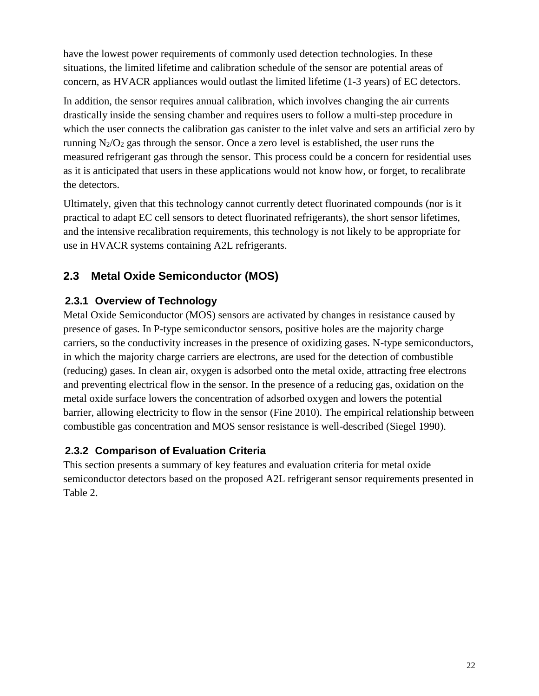have the lowest power requirements of commonly used detection technologies. In these situations, the limited lifetime and calibration schedule of the sensor are potential areas of concern, as HVACR appliances would outlast the limited lifetime (1-3 years) of EC detectors.

In addition, the sensor requires annual calibration, which involves changing the air currents drastically inside the sensing chamber and requires users to follow a multi-step procedure in which the user connects the calibration gas canister to the inlet valve and sets an artificial zero by running  $N_2/O_2$  gas through the sensor. Once a zero level is established, the user runs the measured refrigerant gas through the sensor. This process could be a concern for residential uses as it is anticipated that users in these applications would not know how, or forget, to recalibrate the detectors.

Ultimately, given that this technology cannot currently detect fluorinated compounds (nor is it practical to adapt EC cell sensors to detect fluorinated refrigerants), the short sensor lifetimes, and the intensive recalibration requirements, this technology is not likely to be appropriate for use in HVACR systems containing A2L refrigerants.

## **2.3 Metal Oxide Semiconductor (MOS)**

### **2.3.1 Overview of Technology**

Metal Oxide Semiconductor (MOS) sensors are activated by changes in resistance caused by presence of gases. In P-type semiconductor sensors, positive holes are the majority charge carriers, so the conductivity increases in the presence of oxidizing gases. N-type semiconductors, in which the majority charge carriers are electrons, are used for the detection of combustible (reducing) gases. In clean air, oxygen is adsorbed onto the metal oxide, attracting free electrons and preventing electrical flow in the sensor. In the presence of a reducing gas, oxidation on the metal oxide surface lowers the concentration of adsorbed oxygen and lowers the potential barrier, allowing electricity to flow in the sensor (Fine 2010). The empirical relationship between combustible gas concentration and MOS sensor resistance is well-described (Siegel 1990).

### **2.3.2 Comparison of Evaluation Criteria**

This section presents a summary of key features and evaluation criteria for metal oxide semiconductor detectors based on the proposed A2L refrigerant sensor requirements presented in Table 2.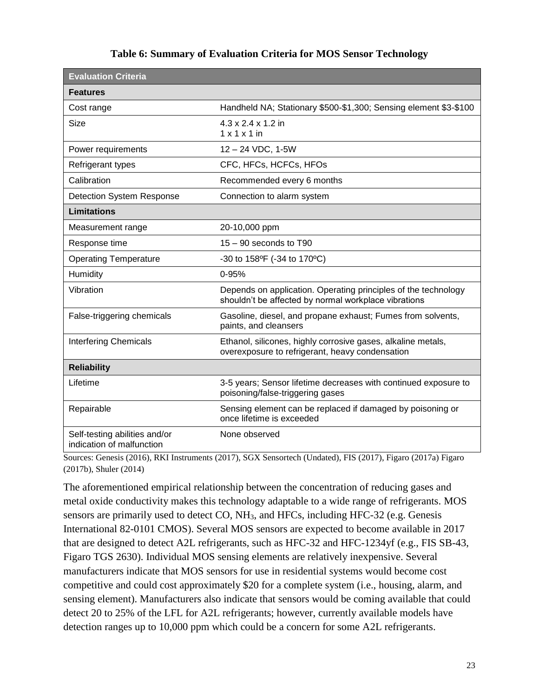| <b>Evaluation Criteria</b>                                 |                                                                                                                        |
|------------------------------------------------------------|------------------------------------------------------------------------------------------------------------------------|
| <b>Features</b>                                            |                                                                                                                        |
| Cost range                                                 | Handheld NA; Stationary \$500-\$1,300; Sensing element \$3-\$100                                                       |
| <b>Size</b>                                                | $4.3 \times 2.4 \times 1.2$ in<br>$1 \times 1 \times 1$ in                                                             |
| Power requirements                                         | 12-24 VDC, 1-5W                                                                                                        |
| Refrigerant types                                          | CFC, HFCs, HCFCs, HFOs                                                                                                 |
| Calibration                                                | Recommended every 6 months                                                                                             |
| <b>Detection System Response</b>                           | Connection to alarm system                                                                                             |
| <b>Limitations</b>                                         |                                                                                                                        |
| Measurement range                                          | 20-10,000 ppm                                                                                                          |
| Response time                                              | 15 - 90 seconds to T90                                                                                                 |
| <b>Operating Temperature</b>                               | -30 to 158°F (-34 to 170°C)                                                                                            |
| Humidity                                                   | 0-95%                                                                                                                  |
| Vibration                                                  | Depends on application. Operating principles of the technology<br>shouldn't be affected by normal workplace vibrations |
| False-triggering chemicals                                 | Gasoline, diesel, and propane exhaust; Fumes from solvents,<br>paints, and cleansers                                   |
| <b>Interfering Chemicals</b>                               | Ethanol, silicones, highly corrosive gases, alkaline metals,<br>overexposure to refrigerant, heavy condensation        |
| <b>Reliability</b>                                         |                                                                                                                        |
| Lifetime                                                   | 3-5 years; Sensor lifetime decreases with continued exposure to<br>poisoning/false-triggering gases                    |
| Repairable                                                 | Sensing element can be replaced if damaged by poisoning or<br>once lifetime is exceeded                                |
| Self-testing abilities and/or<br>indication of malfunction | None observed                                                                                                          |

#### **Table 6: Summary of Evaluation Criteria for MOS Sensor Technology**

Sources: Genesis (2016), RKI Instruments (2017), SGX Sensortech (Undated), FIS (2017), Figaro (2017a) Figaro (2017b), Shuler (2014)

The aforementioned empirical relationship between the concentration of reducing gases and metal oxide conductivity makes this technology adaptable to a wide range of refrigerants. MOS sensors are primarily used to detect CO, NH3, and HFCs, including HFC-32 (e.g. Genesis International 82-0101 CMOS). Several MOS sensors are expected to become available in 2017 that are designed to detect A2L refrigerants, such as HFC-32 and HFC-1234yf (e.g., FIS SB-43, Figaro TGS 2630). Individual MOS sensing elements are relatively inexpensive. Several manufacturers indicate that MOS sensors for use in residential systems would become cost competitive and could cost approximately \$20 for a complete system (i.e., housing, alarm, and sensing element). Manufacturers also indicate that sensors would be coming available that could detect 20 to 25% of the LFL for A2L refrigerants; however, currently available models have detection ranges up to 10,000 ppm which could be a concern for some A2L refrigerants.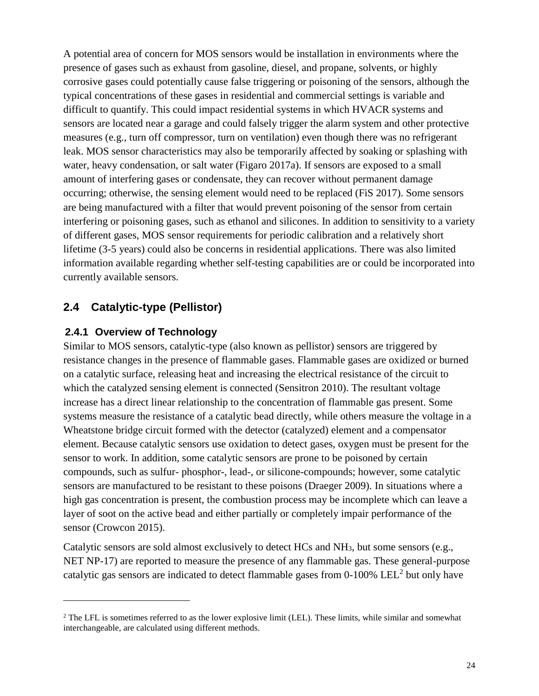A potential area of concern for MOS sensors would be installation in environments where the presence of gases such as exhaust from gasoline, diesel, and propane, solvents, or highly corrosive gases could potentially cause false triggering or poisoning of the sensors, although the typical concentrations of these gases in residential and commercial settings is variable and difficult to quantify. This could impact residential systems in which HVACR systems and sensors are located near a garage and could falsely trigger the alarm system and other protective measures (e.g., turn off compressor, turn on ventilation) even though there was no refrigerant leak. MOS sensor characteristics may also be temporarily affected by soaking or splashing with water, heavy condensation, or salt water (Figaro 2017a). If sensors are exposed to a small amount of interfering gases or condensate, they can recover without permanent damage occurring; otherwise, the sensing element would need to be replaced (FiS 2017). Some sensors are being manufactured with a filter that would prevent poisoning of the sensor from certain interfering or poisoning gases, such as ethanol and silicones. In addition to sensitivity to a variety of different gases, MOS sensor requirements for periodic calibration and a relatively short lifetime (3-5 years) could also be concerns in residential applications. There was also limited information available regarding whether self-testing capabilities are or could be incorporated into currently available sensors.

## **2.4 Catalytic-type (Pellistor)**

#### **2.4.1 Overview of Technology**

 $\overline{a}$ 

Similar to MOS sensors, catalytic-type (also known as pellistor) sensors are triggered by resistance changes in the presence of flammable gases. Flammable gases are oxidized or burned on a catalytic surface, releasing heat and increasing the electrical resistance of the circuit to which the catalyzed sensing element is connected (Sensitron 2010). The resultant voltage increase has a direct linear relationship to the concentration of flammable gas present. Some systems measure the resistance of a catalytic bead directly, while others measure the voltage in a Wheatstone bridge circuit formed with the detector (catalyzed) element and a compensator element. Because catalytic sensors use oxidation to detect gases, oxygen must be present for the sensor to work. In addition, some catalytic sensors are prone to be poisoned by certain compounds, such as sulfur- phosphor-, lead-, or silicone-compounds; however, some catalytic sensors are manufactured to be resistant to these poisons (Draeger 2009). In situations where a high gas concentration is present, the combustion process may be incomplete which can leave a layer of soot on the active bead and either partially or completely impair performance of the sensor (Crowcon 2015).

Catalytic sensors are sold almost exclusively to detect HCs and NH3, but some sensors (e.g., NET NP-17) are reported to measure the presence of any flammable gas. These general-purpose catalytic gas sensors are indicated to detect flammable gases from 0-100% LEL<sup>2</sup> but only have

<sup>&</sup>lt;sup>2</sup> The LFL is sometimes referred to as the lower explosive limit (LEL). These limits, while similar and somewhat interchangeable, are calculated using different methods.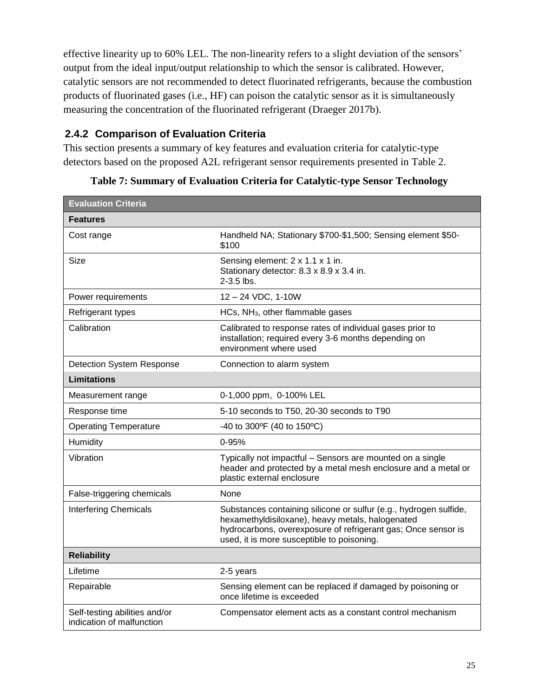effective linearity up to 60% LEL. The non-linearity refers to a slight deviation of the sensors' output from the ideal input/output relationship to which the sensor is calibrated. However, catalytic sensors are not recommended to detect fluorinated refrigerants, because the combustion products of fluorinated gases (i.e., HF) can poison the catalytic sensor as it is simultaneously measuring the concentration of the fluorinated refrigerant (Draeger 2017b).

### **2.4.2 Comparison of Evaluation Criteria**

This section presents a summary of key features and evaluation criteria for catalytic-type detectors based on the proposed A2L refrigerant sensor requirements presented in Table 2.

| <b>Evaluation Criteria</b>                                 |                                                                                                                                                                                                                                      |
|------------------------------------------------------------|--------------------------------------------------------------------------------------------------------------------------------------------------------------------------------------------------------------------------------------|
| <b>Features</b>                                            |                                                                                                                                                                                                                                      |
| Cost range                                                 | Handheld NA; Stationary \$700-\$1,500; Sensing element \$50-<br>\$100                                                                                                                                                                |
| Size                                                       | Sensing element: 2 x 1.1 x 1 in.<br>Stationary detector: 8.3 x 8.9 x 3.4 in.<br>$2 - 3.5$ lbs.                                                                                                                                       |
| Power requirements                                         | 12 - 24 VDC, 1-10W                                                                                                                                                                                                                   |
| Refrigerant types                                          | HCs, NH <sub>3</sub> , other flammable gases                                                                                                                                                                                         |
| Calibration                                                | Calibrated to response rates of individual gases prior to<br>installation; required every 3-6 months depending on<br>environment where used                                                                                          |
| <b>Detection System Response</b>                           | Connection to alarm system                                                                                                                                                                                                           |
| <b>Limitations</b>                                         |                                                                                                                                                                                                                                      |
| Measurement range                                          | 0-1,000 ppm, 0-100% LEL                                                                                                                                                                                                              |
| Response time                                              | 5-10 seconds to T50, 20-30 seconds to T90                                                                                                                                                                                            |
| <b>Operating Temperature</b>                               | -40 to 300°F (40 to 150°C)                                                                                                                                                                                                           |
| Humidity                                                   | $0 - 95%$                                                                                                                                                                                                                            |
| Vibration                                                  | Typically not impactful - Sensors are mounted on a single<br>header and protected by a metal mesh enclosure and a metal or<br>plastic external enclosure                                                                             |
| False-triggering chemicals                                 | None                                                                                                                                                                                                                                 |
| <b>Interfering Chemicals</b>                               | Substances containing silicone or sulfur (e.g., hydrogen sulfide,<br>hexamethyldisiloxane), heavy metals, halogenated<br>hydrocarbons, overexposure of refrigerant gas; Once sensor is<br>used, it is more susceptible to poisoning. |
| <b>Reliability</b>                                         |                                                                                                                                                                                                                                      |
| Lifetime                                                   | 2-5 years                                                                                                                                                                                                                            |
| Repairable                                                 | Sensing element can be replaced if damaged by poisoning or<br>once lifetime is exceeded                                                                                                                                              |
| Self-testing abilities and/or<br>indication of malfunction | Compensator element acts as a constant control mechanism                                                                                                                                                                             |

**Table 7: Summary of Evaluation Criteria for Catalytic-type Sensor Technology**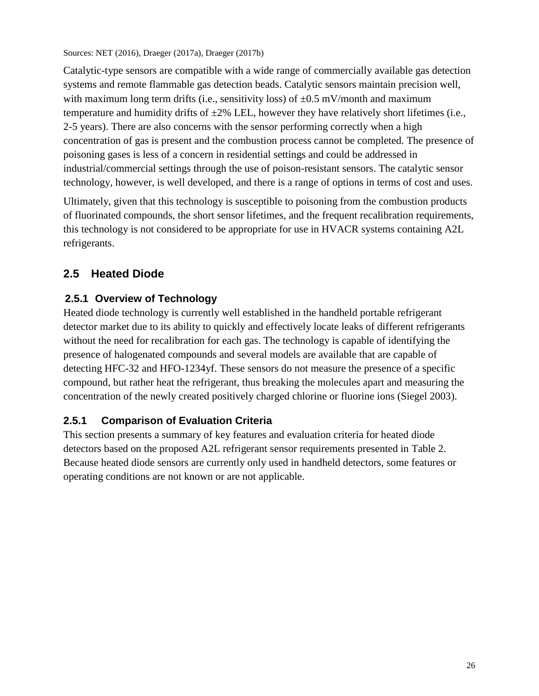Sources: NET (2016), Draeger (2017a), Draeger (2017b)

Catalytic-type sensors are compatible with a wide range of commercially available gas detection systems and remote flammable gas detection beads. Catalytic sensors maintain precision well, with maximum long term drifts (i.e., sensitivity loss) of  $\pm 0.5$  mV/month and maximum temperature and humidity drifts of  $\pm 2\%$  LEL, however they have relatively short lifetimes (i.e., 2-5 years). There are also concerns with the sensor performing correctly when a high concentration of gas is present and the combustion process cannot be completed. The presence of poisoning gases is less of a concern in residential settings and could be addressed in industrial/commercial settings through the use of poison-resistant sensors. The catalytic sensor technology, however, is well developed, and there is a range of options in terms of cost and uses.

Ultimately, given that this technology is susceptible to poisoning from the combustion products of fluorinated compounds, the short sensor lifetimes, and the frequent recalibration requirements, this technology is not considered to be appropriate for use in HVACR systems containing A2L refrigerants.

## **2.5 Heated Diode**

### **2.5.1 Overview of Technology**

Heated diode technology is currently well established in the handheld portable refrigerant detector market due to its ability to quickly and effectively locate leaks of different refrigerants without the need for recalibration for each gas. The technology is capable of identifying the presence of halogenated compounds and several models are available that are capable of detecting HFC-32 and HFO-1234yf. These sensors do not measure the presence of a specific compound, but rather heat the refrigerant, thus breaking the molecules apart and measuring the concentration of the newly created positively charged chlorine or fluorine ions (Siegel 2003).

### **2.5.1 Comparison of Evaluation Criteria**

This section presents a summary of key features and evaluation criteria for heated diode detectors based on the proposed A2L refrigerant sensor requirements presented in Table 2. Because heated diode sensors are currently only used in handheld detectors, some features or operating conditions are not known or are not applicable.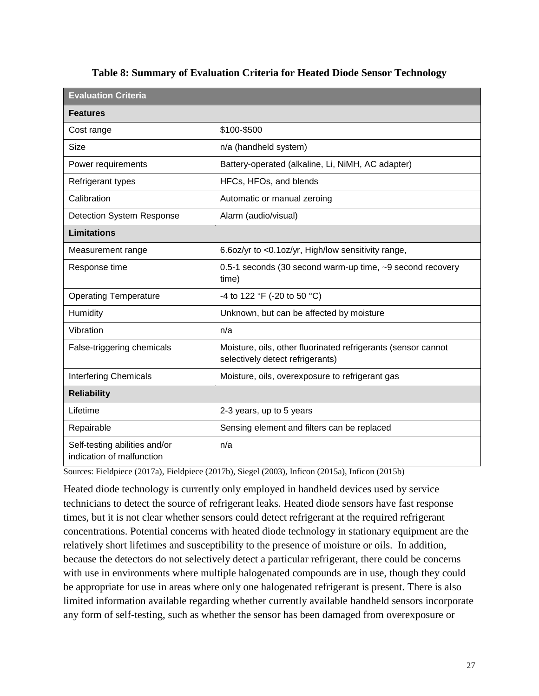| <b>Evaluation Criteria</b>                                 |                                                                                                   |
|------------------------------------------------------------|---------------------------------------------------------------------------------------------------|
| <b>Features</b>                                            |                                                                                                   |
| Cost range                                                 | \$100-\$500                                                                                       |
| Size                                                       | n/a (handheld system)                                                                             |
| Power requirements                                         | Battery-operated (alkaline, Li, NiMH, AC adapter)                                                 |
| Refrigerant types                                          | HFCs, HFOs, and blends                                                                            |
| Calibration                                                | Automatic or manual zeroing                                                                       |
| <b>Detection System Response</b>                           | Alarm (audio/visual)                                                                              |
| <b>Limitations</b>                                         |                                                                                                   |
| Measurement range                                          | 6.6oz/yr to <0.1oz/yr, High/low sensitivity range,                                                |
| Response time                                              | 0.5-1 seconds (30 second warm-up time, ~9 second recovery<br>time)                                |
| <b>Operating Temperature</b>                               | -4 to 122 °F (-20 to 50 °C)                                                                       |
| Humidity                                                   | Unknown, but can be affected by moisture                                                          |
| Vibration                                                  | n/a                                                                                               |
| False-triggering chemicals                                 | Moisture, oils, other fluorinated refrigerants (sensor cannot<br>selectively detect refrigerants) |
| <b>Interfering Chemicals</b>                               | Moisture, oils, overexposure to refrigerant gas                                                   |
| <b>Reliability</b>                                         |                                                                                                   |
| Lifetime                                                   | 2-3 years, up to 5 years                                                                          |
| Repairable                                                 | Sensing element and filters can be replaced                                                       |
| Self-testing abilities and/or<br>indication of malfunction | n/a                                                                                               |

#### **Table 8: Summary of Evaluation Criteria for Heated Diode Sensor Technology**

Sources: Fieldpiece (2017a), Fieldpiece (2017b), Siegel (2003), Inficon (2015a), Inficon (2015b)

Heated diode technology is currently only employed in handheld devices used by service technicians to detect the source of refrigerant leaks. Heated diode sensors have fast response times, but it is not clear whether sensors could detect refrigerant at the required refrigerant concentrations. Potential concerns with heated diode technology in stationary equipment are the relatively short lifetimes and susceptibility to the presence of moisture or oils. In addition, because the detectors do not selectively detect a particular refrigerant, there could be concerns with use in environments where multiple halogenated compounds are in use, though they could be appropriate for use in areas where only one halogenated refrigerant is present. There is also limited information available regarding whether currently available handheld sensors incorporate any form of self-testing, such as whether the sensor has been damaged from overexposure or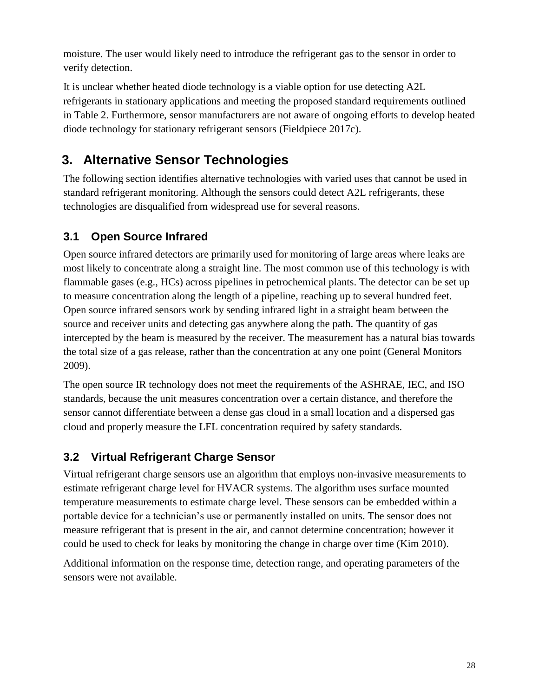moisture. The user would likely need to introduce the refrigerant gas to the sensor in order to verify detection.

It is unclear whether heated diode technology is a viable option for use detecting A2L refrigerants in stationary applications and meeting the proposed standard requirements outlined in Table 2. Furthermore, sensor manufacturers are not aware of ongoing efforts to develop heated diode technology for stationary refrigerant sensors (Fieldpiece 2017c).

## **3. Alternative Sensor Technologies**

The following section identifies alternative technologies with varied uses that cannot be used in standard refrigerant monitoring. Although the sensors could detect A2L refrigerants, these technologies are disqualified from widespread use for several reasons.

## **3.1 Open Source Infrared**

Open source infrared detectors are primarily used for monitoring of large areas where leaks are most likely to concentrate along a straight line. The most common use of this technology is with flammable gases (e.g., HCs) across pipelines in petrochemical plants. The detector can be set up to measure concentration along the length of a pipeline, reaching up to several hundred feet. Open source infrared sensors work by sending infrared light in a straight beam between the source and receiver units and detecting gas anywhere along the path. The quantity of gas intercepted by the beam is measured by the receiver. The measurement has a natural bias towards the total size of a gas release, rather than the concentration at any one point (General Monitors 2009).

The open source IR technology does not meet the requirements of the ASHRAE, IEC, and ISO standards, because the unit measures concentration over a certain distance, and therefore the sensor cannot differentiate between a dense gas cloud in a small location and a dispersed gas cloud and properly measure the LFL concentration required by safety standards.

## **3.2 Virtual Refrigerant Charge Sensor**

Virtual refrigerant charge sensors use an algorithm that employs non-invasive measurements to estimate refrigerant charge level for HVACR systems. The algorithm uses surface mounted temperature measurements to estimate charge level. These sensors can be embedded within a portable device for a technician's use or permanently installed on units. The sensor does not measure refrigerant that is present in the air, and cannot determine concentration; however it could be used to check for leaks by monitoring the change in charge over time (Kim 2010).

Additional information on the response time, detection range, and operating parameters of the sensors were not available.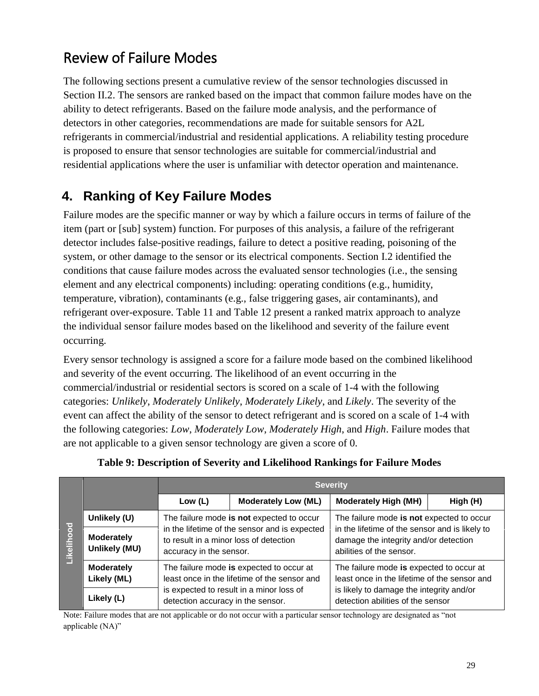# Review of Failure Modes

The following sections present a cumulative review of the sensor technologies discussed in Section II.2. The sensors are ranked based on the impact that common failure modes have on the ability to detect refrigerants. Based on the failure mode analysis, and the performance of detectors in other categories, recommendations are made for suitable sensors for A2L refrigerants in commercial/industrial and residential applications. A reliability testing procedure is proposed to ensure that sensor technologies are suitable for commercial/industrial and residential applications where the user is unfamiliar with detector operation and maintenance.

## **4. Ranking of Key Failure Modes**

Failure modes are the specific manner or way by which a failure occurs in terms of failure of the item (part or [sub] system) function. For purposes of this analysis, a failure of the refrigerant detector includes false-positive readings, failure to detect a positive reading, poisoning of the system, or other damage to the sensor or its electrical components. Section I.2 identified the conditions that cause failure modes across the evaluated sensor technologies (i.e., the sensing element and any electrical components) including: operating conditions (e.g., humidity, temperature, vibration), contaminants (e.g., false triggering gases, air contaminants), and refrigerant over-exposure. Table 11 and [Table 12](#page-31-0) present a ranked matrix approach to analyze the individual sensor failure modes based on the likelihood and severity of the failure event occurring.

Every sensor technology is assigned a score for a failure mode based on the combined likelihood and severity of the event occurring. The likelihood of an event occurring in the commercial/industrial or residential sectors is scored on a scale of 1-4 with the following categories: *Unlikely*, *Moderately Unlikely*, *Moderately Likely*, and *Likely*. The severity of the event can affect the ability of the sensor to detect refrigerant and is scored on a scale of 1-4 with the following categories: *Low*, *Moderately Low*, *Moderately High*, and *High*. Failure modes that are not applicable to a given sensor technology are given a score of 0.

|                    |                                    | <b>Severity</b>                                                   |                                                                                          |                                                                                                                                                                           |  |  |  |  |  |  |
|--------------------|------------------------------------|-------------------------------------------------------------------|------------------------------------------------------------------------------------------|---------------------------------------------------------------------------------------------------------------------------------------------------------------------------|--|--|--|--|--|--|
| ह<br>LÕ<br>Likelil |                                    | Low $(L)$                                                         | <b>Moderately Low (ML)</b>                                                               | <b>Moderately High (MH)</b><br>High (H)                                                                                                                                   |  |  |  |  |  |  |
|                    | Unlikely (U)                       |                                                                   | The failure mode is not expected to occur                                                | The failure mode is not expected to occur<br>in the lifetime of the sensor and is likely to<br>damage the integrity and/or detection<br>abilities of the sensor.          |  |  |  |  |  |  |
|                    | <b>Moderately</b><br>Unlikely (MU) | to result in a minor loss of detection<br>accuracy in the sensor. | in the lifetime of the sensor and is expected                                            |                                                                                                                                                                           |  |  |  |  |  |  |
|                    | <b>Moderately</b><br>Likely (ML)   |                                                                   | The failure mode is expected to occur at<br>least once in the lifetime of the sensor and | The failure mode is expected to occur at<br>least once in the lifetime of the sensor and<br>is likely to damage the integrity and/or<br>detection abilities of the sensor |  |  |  |  |  |  |
|                    | Likely (L)                         | detection accuracy in the sensor.                                 | is expected to result in a minor loss of                                                 |                                                                                                                                                                           |  |  |  |  |  |  |

#### **Table 9: Description of Severity and Likelihood Rankings for Failure Modes**

Note: Failure modes that are not applicable or do not occur with a particular sensor technology are designated as "not applicable (NA)"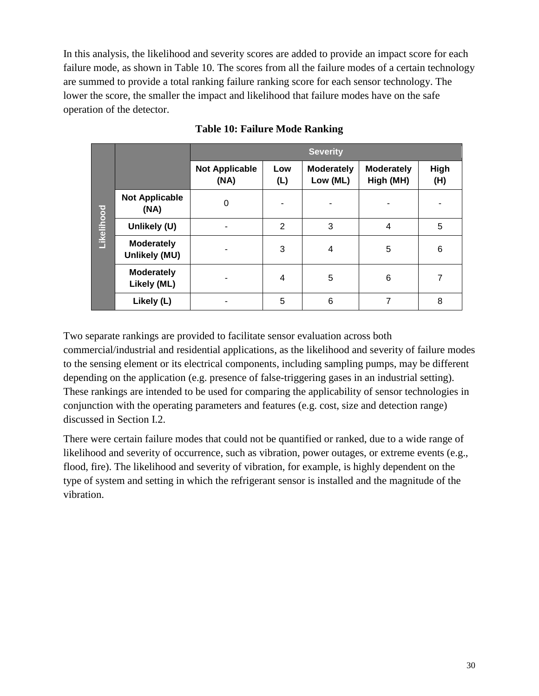In this analysis, the likelihood and severity scores are added to provide an impact score for each failure mode, as shown in Table 10. The scores from all the failure modes of a certain technology are summed to provide a total ranking failure ranking score for each sensor technology. The lower the score, the smaller the impact and likelihood that failure modes have on the safe operation of the detector.

|            |                                    | <b>Severity</b>               |                |                               |                                |             |  |  |  |  |
|------------|------------------------------------|-------------------------------|----------------|-------------------------------|--------------------------------|-------------|--|--|--|--|
| Likelihood |                                    | <b>Not Applicable</b><br>(NA) | Low<br>(L)     | <b>Moderately</b><br>Low (ML) | <b>Moderately</b><br>High (MH) | High<br>(H) |  |  |  |  |
|            | <b>Not Applicable</b><br>(NA)      | $\Omega$                      |                |                               |                                |             |  |  |  |  |
|            | Unlikely (U)                       |                               | $\overline{2}$ | 3                             | 4                              | 5           |  |  |  |  |
|            | <b>Moderately</b><br>Unlikely (MU) |                               | 3              | 4                             | 5                              | 6           |  |  |  |  |
|            | <b>Moderately</b><br>Likely (ML)   |                               | 4              | 5                             | 6                              | 7           |  |  |  |  |
|            | Likely (L)                         |                               | 5              | 6                             | 7                              | 8           |  |  |  |  |

#### **Table 10: Failure Mode Ranking**

Two separate rankings are provided to facilitate sensor evaluation across both commercial/industrial and residential applications, as the likelihood and severity of failure modes to the sensing element or its electrical components, including sampling pumps, may be different depending on the application (e.g. presence of false-triggering gases in an industrial setting). These rankings are intended to be used for comparing the applicability of sensor technologies in conjunction with the operating parameters and features (e.g. cost, size and detection range) discussed in Section I.2.

There were certain failure modes that could not be quantified or ranked, due to a wide range of likelihood and severity of occurrence, such as vibration, power outages, or extreme events (e.g., flood, fire). The likelihood and severity of vibration, for example, is highly dependent on the type of system and setting in which the refrigerant sensor is installed and the magnitude of the vibration.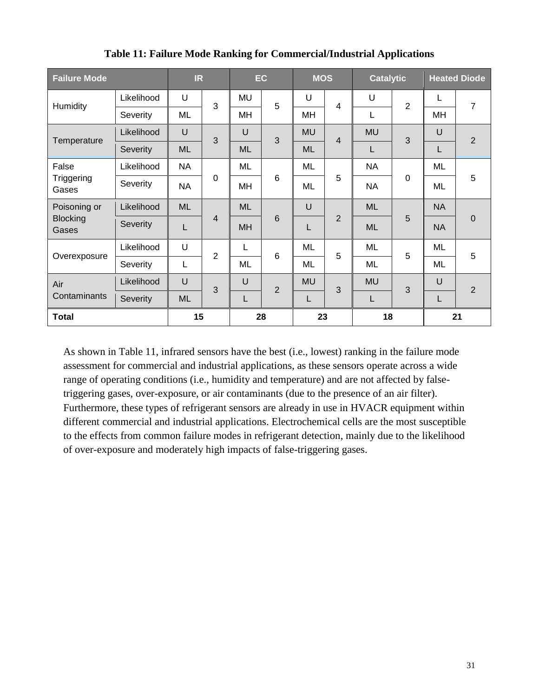| <b>Failure Mode</b>      | IR         |           | EC             |           | <b>MOS</b>     |           | <b>Catalytic</b> |           | <b>Heated Diode</b> |           |                |
|--------------------------|------------|-----------|----------------|-----------|----------------|-----------|------------------|-----------|---------------------|-----------|----------------|
| Humidity                 | Likelihood | U         | 3              | <b>MU</b> | 5              | U         | $\overline{4}$   | U         | $\overline{2}$      | L         | 7<br>2         |
|                          | Severity   | ML        |                | MH        |                | MH        |                  | L         |                     | MH        |                |
| Temperature              | Likelihood | U         | 3              | $\cup$    | 3              | <b>MU</b> | $\overline{4}$   | <b>MU</b> | 3                   | U         |                |
|                          | Severity   | <b>ML</b> |                | <b>ML</b> |                | <b>ML</b> |                  | L         |                     | L         |                |
| False                    | Likelihood | <b>NA</b> | $\mathbf 0$    | ML        | 6              | ML        | 5                | <b>NA</b> | $\Omega$            | ML        | 5              |
| Triggering<br>Gases      | Severity   | <b>NA</b> |                | MH        |                | ML        |                  | <b>NA</b> |                     | ML        |                |
| Poisoning or             | Likelihood | <b>ML</b> | $\overline{4}$ | <b>ML</b> | 6              | U         |                  | <b>ML</b> | 5                   | <b>NA</b> | $\overline{0}$ |
| <b>Blocking</b><br>Gases | Severity   | L         |                | <b>MH</b> |                |           | $\overline{2}$   | <b>ML</b> |                     | <b>NA</b> |                |
| Overexposure             | Likelihood | U         | $\overline{2}$ | L         | 6              | ML        | 5                | ML        | 5                   | ML        | 5              |
|                          | Severity   | L         |                | ML        |                | ML        |                  | ML        |                     | ML        |                |
| Air                      | Likelihood | $\cup$    | 3              | $\cup$    | $\overline{2}$ | <b>MU</b> | 3                | <b>MU</b> | 3                   | U         | $\overline{2}$ |
| Contaminants             | Severity   | <b>ML</b> |                | L         |                | L         |                  | L         |                     | L         |                |
| <b>Total</b>             |            | 15        |                | 28        |                | 23        |                  | 18        |                     |           | 21             |

**Table 11: Failure Mode Ranking for Commercial/Industrial Applications**

As shown in Table 11, infrared sensors have the best (i.e., lowest) ranking in the failure mode assessment for commercial and industrial applications, as these sensors operate across a wide range of operating conditions (i.e., humidity and temperature) and are not affected by falsetriggering gases, over-exposure, or air contaminants (due to the presence of an air filter). Furthermore, these types of refrigerant sensors are already in use in HVACR equipment within different commercial and industrial applications. Electrochemical cells are the most susceptible to the effects from common failure modes in refrigerant detection, mainly due to the likelihood of over-exposure and moderately high impacts of false-triggering gases.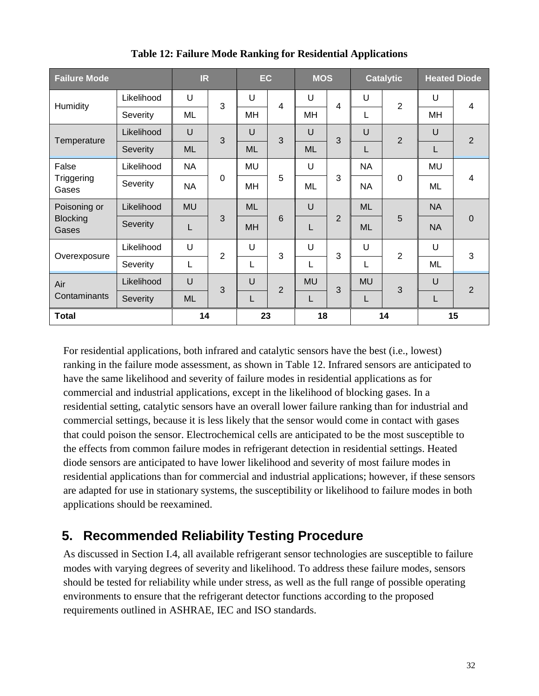<span id="page-31-0"></span>

| <b>Failure Mode</b>      | <b>IR</b>  |           | EC             |           | <b>MOS</b>     |           | <b>Catalytic</b> |           | <b>Heated Diode</b> |           |                |
|--------------------------|------------|-----------|----------------|-----------|----------------|-----------|------------------|-----------|---------------------|-----------|----------------|
| Humidity                 | Likelihood | U         | 3              | U         | $\overline{4}$ | U         | 4                | U         | $\overline{2}$      | U         | 4              |
|                          | Severity   | ML        |                | MH        |                | MH        |                  | L         |                     | MH        |                |
| Temperature              | Likelihood | U         | 3              | $\cup$    | 3              | U         | 3                | $\cup$    | $\overline{2}$      | U         | 2              |
|                          | Severity   | <b>ML</b> |                | <b>ML</b> |                | <b>ML</b> |                  | L         |                     | L         |                |
| False                    | Likelihood | <b>NA</b> |                | MU        | 5              | U         | 3                | <b>NA</b> | $\mathbf 0$         | MU        | 4              |
| Triggering<br>Gases      | Severity   | NA.       | $\mathbf 0$    | MН        |                | ML        |                  | <b>NA</b> |                     | ML        |                |
| Poisoning or             | Likelihood | <b>MU</b> |                | <b>ML</b> | 6              | U         | $\overline{2}$   | <b>ML</b> | 5                   | <b>NA</b> | $\mathbf 0$    |
| <b>Blocking</b><br>Gases | Severity   |           | 3              | <b>MH</b> |                | L         |                  | <b>ML</b> |                     | <b>NA</b> |                |
| Overexposure             | Likelihood | U         | $\overline{2}$ | U         | 3              | U         | 3                | U         | $\overline{2}$      | U         | 3              |
|                          | Severity   |           |                | L         |                | L         |                  | L         |                     | ML        |                |
| Air                      | Likelihood | $\cup$    | 3              | U         | $\overline{2}$ | <b>MU</b> | 3                | <b>MU</b> | 3                   | U         | $\overline{2}$ |
| Contaminants             | Severity   | <b>ML</b> |                | L         |                | L         |                  | L         |                     | L         |                |
| <b>Total</b>             | 14         |           | 23             |           | 18             |           |                  | 14        |                     | 15        |                |

**Table 12: Failure Mode Ranking for Residential Applications**

For residential applications, both infrared and catalytic sensors have the best (i.e., lowest) ranking in the failure mode assessment, as shown in Table 12. Infrared sensors are anticipated to have the same likelihood and severity of failure modes in residential applications as for commercial and industrial applications, except in the likelihood of blocking gases. In a residential setting, catalytic sensors have an overall lower failure ranking than for industrial and commercial settings, because it is less likely that the sensor would come in contact with gases that could poison the sensor. Electrochemical cells are anticipated to be the most susceptible to the effects from common failure modes in refrigerant detection in residential settings. Heated diode sensors are anticipated to have lower likelihood and severity of most failure modes in residential applications than for commercial and industrial applications; however, if these sensors are adapted for use in stationary systems, the susceptibility or likelihood to failure modes in both applications should be reexamined.

## **5. Recommended Reliability Testing Procedure**

As discussed in Section I.4, all available refrigerant sensor technologies are susceptible to failure modes with varying degrees of severity and likelihood. To address these failure modes, sensors should be tested for reliability while under stress, as well as the full range of possible operating environments to ensure that the refrigerant detector functions according to the proposed requirements outlined in ASHRAE, IEC and ISO standards.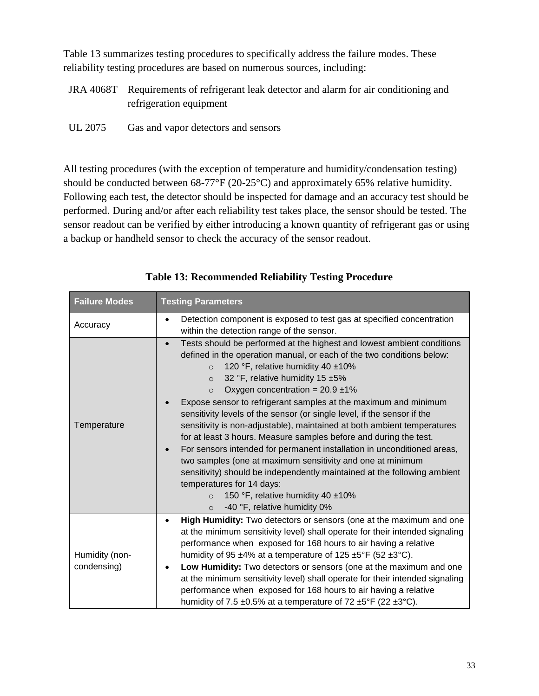Table 13 summarizes testing procedures to specifically address the failure modes. These reliability testing procedures are based on numerous sources, including:

- JRA 4068T Requirements of refrigerant leak detector and alarm for air conditioning and refrigeration equipment
- UL 2075 Gas and vapor detectors and sensors

All testing procedures (with the exception of temperature and humidity/condensation testing) should be conducted between 68-77°F (20-25°C) and approximately 65% relative humidity. Following each test, the detector should be inspected for damage and an accuracy test should be performed. During and/or after each reliability test takes place, the sensor should be tested. The sensor readout can be verified by either introducing a known quantity of refrigerant gas or using a backup or handheld sensor to check the accuracy of the sensor readout.

| <b>Failure Modes</b>          | <b>Testing Parameters</b>                                                                                                                                                                                                                                                                                                                                                                                                                                                                                                                                                                                                                                                                                                                                                                                                                                                                                                                                                 |
|-------------------------------|---------------------------------------------------------------------------------------------------------------------------------------------------------------------------------------------------------------------------------------------------------------------------------------------------------------------------------------------------------------------------------------------------------------------------------------------------------------------------------------------------------------------------------------------------------------------------------------------------------------------------------------------------------------------------------------------------------------------------------------------------------------------------------------------------------------------------------------------------------------------------------------------------------------------------------------------------------------------------|
| Accuracy                      | Detection component is exposed to test gas at specified concentration<br>$\bullet$<br>within the detection range of the sensor.                                                                                                                                                                                                                                                                                                                                                                                                                                                                                                                                                                                                                                                                                                                                                                                                                                           |
| Temperature                   | Tests should be performed at the highest and lowest ambient conditions<br>$\bullet$<br>defined in the operation manual, or each of the two conditions below:<br>120 °F, relative humidity 40 ±10%<br>$\Omega$<br>32 °F, relative humidity 15 ±5%<br>$\circ$<br>Oxygen concentration = $20.9 \pm 1\%$<br>$\Omega$<br>Expose sensor to refrigerant samples at the maximum and minimum<br>sensitivity levels of the sensor (or single level, if the sensor if the<br>sensitivity is non-adjustable), maintained at both ambient temperatures<br>for at least 3 hours. Measure samples before and during the test.<br>For sensors intended for permanent installation in unconditioned areas,<br>$\bullet$<br>two samples (one at maximum sensitivity and one at minimum<br>sensitivity) should be independently maintained at the following ambient<br>temperatures for 14 days:<br>150 °F, relative humidity 40 ±10%<br>$\Omega$<br>-40 °F, relative humidity 0%<br>$\circ$ |
| Humidity (non-<br>condensing) | High Humidity: Two detectors or sensors (one at the maximum and one<br>$\bullet$<br>at the minimum sensitivity level) shall operate for their intended signaling<br>performance when exposed for 168 hours to air having a relative<br>humidity of 95 $\pm$ 4% at a temperature of 125 $\pm$ 5°F (52 $\pm$ 3°C).<br>Low Humidity: Two detectors or sensors (one at the maximum and one<br>$\bullet$<br>at the minimum sensitivity level) shall operate for their intended signaling<br>performance when exposed for 168 hours to air having a relative<br>humidity of 7.5 $\pm$ 0.5% at a temperature of 72 $\pm$ 5°F (22 $\pm$ 3°C).                                                                                                                                                                                                                                                                                                                                     |

**Table 13: Recommended Reliability Testing Procedure**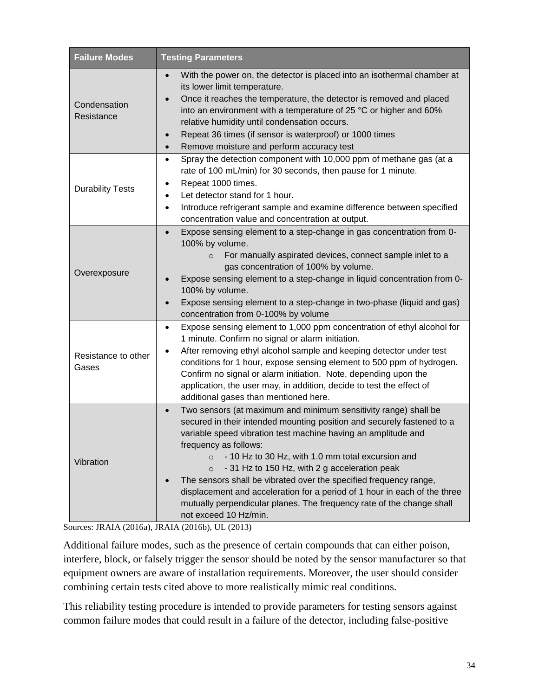| <b>Failure Modes</b>         | <b>Testing Parameters</b>                                                                                                                                                                                                                                                                                                                                                                                                                                                                                                                                                                                             |  |  |  |  |  |  |  |
|------------------------------|-----------------------------------------------------------------------------------------------------------------------------------------------------------------------------------------------------------------------------------------------------------------------------------------------------------------------------------------------------------------------------------------------------------------------------------------------------------------------------------------------------------------------------------------------------------------------------------------------------------------------|--|--|--|--|--|--|--|
| Condensation<br>Resistance   | With the power on, the detector is placed into an isothermal chamber at<br>$\bullet$<br>its lower limit temperature.<br>Once it reaches the temperature, the detector is removed and placed<br>into an environment with a temperature of 25 °C or higher and 60%<br>relative humidity until condensation occurs.<br>Repeat 36 times (if sensor is waterproof) or 1000 times<br>$\bullet$<br>Remove moisture and perform accuracy test<br>$\bullet$                                                                                                                                                                    |  |  |  |  |  |  |  |
| <b>Durability Tests</b>      | Spray the detection component with 10,000 ppm of methane gas (at a<br>$\bullet$<br>rate of 100 mL/min) for 30 seconds, then pause for 1 minute.<br>Repeat 1000 times.<br>Let detector stand for 1 hour.<br>Introduce refrigerant sample and examine difference between specified<br>٠<br>concentration value and concentration at output.                                                                                                                                                                                                                                                                             |  |  |  |  |  |  |  |
| Overexposure                 | Expose sensing element to a step-change in gas concentration from 0-<br>100% by volume.<br>For manually aspirated devices, connect sample inlet to a<br>$\circ$<br>gas concentration of 100% by volume.<br>Expose sensing element to a step-change in liquid concentration from 0-<br>100% by volume.<br>Expose sensing element to a step-change in two-phase (liquid and gas)<br>concentration from 0-100% by volume                                                                                                                                                                                                 |  |  |  |  |  |  |  |
| Resistance to other<br>Gases | Expose sensing element to 1,000 ppm concentration of ethyl alcohol for<br>$\bullet$<br>1 minute. Confirm no signal or alarm initiation.<br>After removing ethyl alcohol sample and keeping detector under test<br>conditions for 1 hour, expose sensing element to 500 ppm of hydrogen.<br>Confirm no signal or alarm initiation. Note, depending upon the<br>application, the user may, in addition, decide to test the effect of<br>additional gases than mentioned here.                                                                                                                                           |  |  |  |  |  |  |  |
| Vibration                    | Two sensors (at maximum and minimum sensitivity range) shall be<br>$\bullet$<br>secured in their intended mounting position and securely fastened to a<br>variable speed vibration test machine having an amplitude and<br>frequency as follows:<br>- 10 Hz to 30 Hz, with 1.0 mm total excursion and<br>- 31 Hz to 150 Hz, with 2 g acceleration peak<br>$\circ$<br>The sensors shall be vibrated over the specified frequency range,<br>displacement and acceleration for a period of 1 hour in each of the three<br>mutually perpendicular planes. The frequency rate of the change shall<br>not exceed 10 Hz/min. |  |  |  |  |  |  |  |

Sources: JRAIA (2016a), JRAIA (2016b), UL (2013)

Additional failure modes, such as the presence of certain compounds that can either poison, interfere, block, or falsely trigger the sensor should be noted by the sensor manufacturer so that equipment owners are aware of installation requirements. Moreover, the user should consider combining certain tests cited above to more realistically mimic real conditions.

This reliability testing procedure is intended to provide parameters for testing sensors against common failure modes that could result in a failure of the detector, including false-positive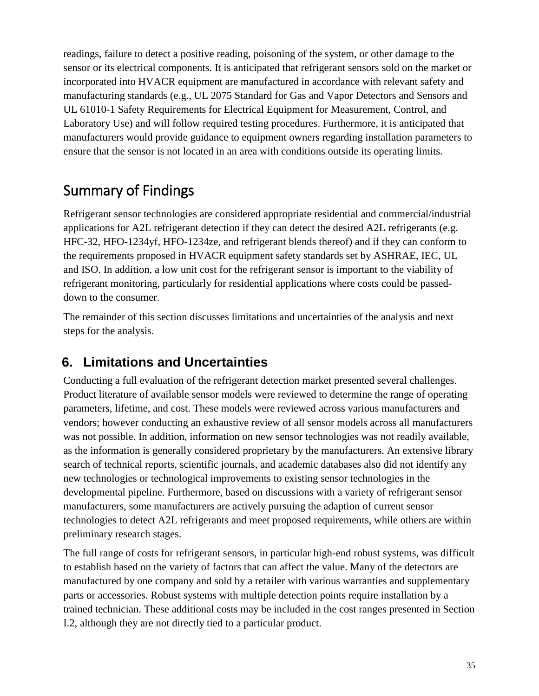readings, failure to detect a positive reading, poisoning of the system, or other damage to the sensor or its electrical components. It is anticipated that refrigerant sensors sold on the market or incorporated into HVACR equipment are manufactured in accordance with relevant safety and manufacturing standards (e.g., UL 2075 Standard for Gas and Vapor Detectors and Sensors and UL 61010-1 Safety Requirements for Electrical Equipment for Measurement, Control, and Laboratory Use) and will follow required testing procedures. Furthermore, it is anticipated that manufacturers would provide guidance to equipment owners regarding installation parameters to ensure that the sensor is not located in an area with conditions outside its operating limits.

## Summary of Findings

Refrigerant sensor technologies are considered appropriate residential and commercial/industrial applications for A2L refrigerant detection if they can detect the desired A2L refrigerants (e.g. HFC-32, HFO-1234yf, HFO-1234ze, and refrigerant blends thereof) and if they can conform to the requirements proposed in HVACR equipment safety standards set by ASHRAE, IEC, UL and ISO. In addition, a low unit cost for the refrigerant sensor is important to the viability of refrigerant monitoring, particularly for residential applications where costs could be passeddown to the consumer.

The remainder of this section discusses limitations and uncertainties of the analysis and next steps for the analysis.

## **6. Limitations and Uncertainties**

Conducting a full evaluation of the refrigerant detection market presented several challenges. Product literature of available sensor models were reviewed to determine the range of operating parameters, lifetime, and cost. These models were reviewed across various manufacturers and vendors; however conducting an exhaustive review of all sensor models across all manufacturers was not possible. In addition, information on new sensor technologies was not readily available, as the information is generally considered proprietary by the manufacturers. An extensive library search of technical reports, scientific journals, and academic databases also did not identify any new technologies or technological improvements to existing sensor technologies in the developmental pipeline. Furthermore, based on discussions with a variety of refrigerant sensor manufacturers, some manufacturers are actively pursuing the adaption of current sensor technologies to detect A2L refrigerants and meet proposed requirements, while others are within preliminary research stages.

The full range of costs for refrigerant sensors, in particular high-end robust systems, was difficult to establish based on the variety of factors that can affect the value. Many of the detectors are manufactured by one company and sold by a retailer with various warranties and supplementary parts or accessories. Robust systems with multiple detection points require installation by a trained technician. These additional costs may be included in the cost ranges presented in Section I.2, although they are not directly tied to a particular product.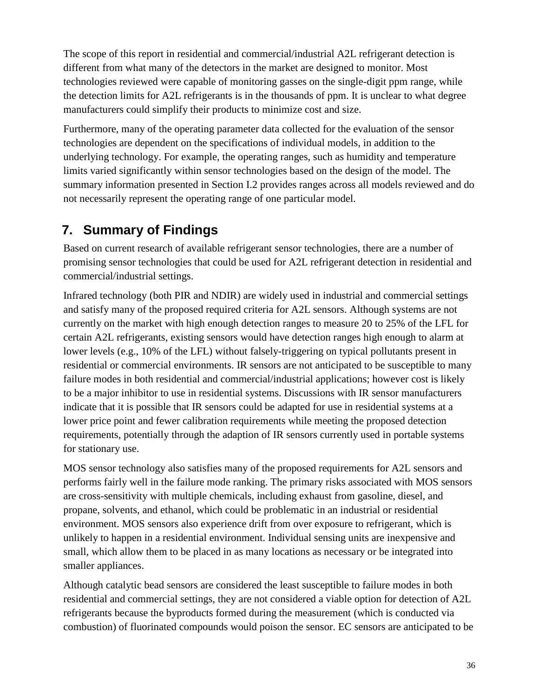The scope of this report in residential and commercial/industrial A2L refrigerant detection is different from what many of the detectors in the market are designed to monitor. Most technologies reviewed were capable of monitoring gasses on the single-digit ppm range, while the detection limits for A2L refrigerants is in the thousands of ppm. It is unclear to what degree manufacturers could simplify their products to minimize cost and size.

Furthermore, many of the operating parameter data collected for the evaluation of the sensor technologies are dependent on the specifications of individual models, in addition to the underlying technology. For example, the operating ranges, such as humidity and temperature limits varied significantly within sensor technologies based on the design of the model. The summary information presented in Section I.2 provides ranges across all models reviewed and do not necessarily represent the operating range of one particular model.

## **7. Summary of Findings**

Based on current research of available refrigerant sensor technologies, there are a number of promising sensor technologies that could be used for A2L refrigerant detection in residential and commercial/industrial settings.

Infrared technology (both PIR and NDIR) are widely used in industrial and commercial settings and satisfy many of the proposed required criteria for A2L sensors. Although systems are not currently on the market with high enough detection ranges to measure 20 to 25% of the LFL for certain A2L refrigerants, existing sensors would have detection ranges high enough to alarm at lower levels (e.g., 10% of the LFL) without falsely-triggering on typical pollutants present in residential or commercial environments. IR sensors are not anticipated to be susceptible to many failure modes in both residential and commercial/industrial applications; however cost is likely to be a major inhibitor to use in residential systems. Discussions with IR sensor manufacturers indicate that it is possible that IR sensors could be adapted for use in residential systems at a lower price point and fewer calibration requirements while meeting the proposed detection requirements, potentially through the adaption of IR sensors currently used in portable systems for stationary use.

MOS sensor technology also satisfies many of the proposed requirements for A2L sensors and performs fairly well in the failure mode ranking. The primary risks associated with MOS sensors are cross-sensitivity with multiple chemicals, including exhaust from gasoline, diesel, and propane, solvents, and ethanol, which could be problematic in an industrial or residential environment. MOS sensors also experience drift from over exposure to refrigerant, which is unlikely to happen in a residential environment. Individual sensing units are inexpensive and small, which allow them to be placed in as many locations as necessary or be integrated into smaller appliances.

Although catalytic bead sensors are considered the least susceptible to failure modes in both residential and commercial settings, they are not considered a viable option for detection of A2L refrigerants because the byproducts formed during the measurement (which is conducted via combustion) of fluorinated compounds would poison the sensor. EC sensors are anticipated to be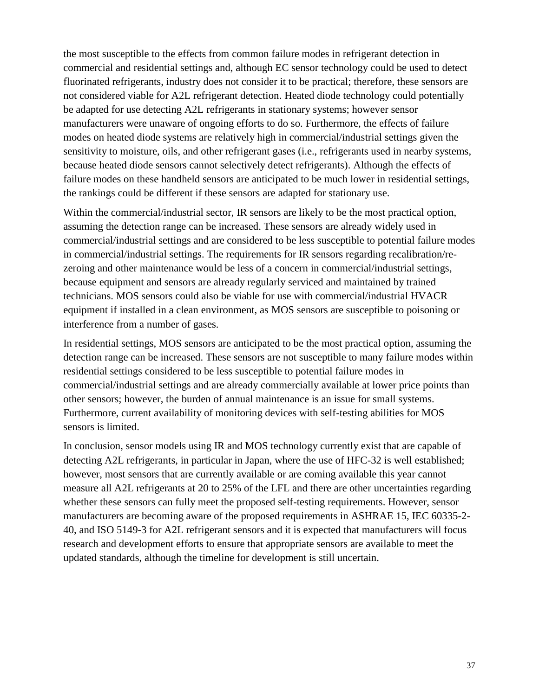the most susceptible to the effects from common failure modes in refrigerant detection in commercial and residential settings and, although EC sensor technology could be used to detect fluorinated refrigerants, industry does not consider it to be practical; therefore, these sensors are not considered viable for A2L refrigerant detection. Heated diode technology could potentially be adapted for use detecting A2L refrigerants in stationary systems; however sensor manufacturers were unaware of ongoing efforts to do so. Furthermore, the effects of failure modes on heated diode systems are relatively high in commercial/industrial settings given the sensitivity to moisture, oils, and other refrigerant gases (i.e., refrigerants used in nearby systems, because heated diode sensors cannot selectively detect refrigerants). Although the effects of failure modes on these handheld sensors are anticipated to be much lower in residential settings, the rankings could be different if these sensors are adapted for stationary use.

Within the commercial/industrial sector, IR sensors are likely to be the most practical option, assuming the detection range can be increased. These sensors are already widely used in commercial/industrial settings and are considered to be less susceptible to potential failure modes in commercial/industrial settings. The requirements for IR sensors regarding recalibration/rezeroing and other maintenance would be less of a concern in commercial/industrial settings, because equipment and sensors are already regularly serviced and maintained by trained technicians. MOS sensors could also be viable for use with commercial/industrial HVACR equipment if installed in a clean environment, as MOS sensors are susceptible to poisoning or interference from a number of gases.

In residential settings, MOS sensors are anticipated to be the most practical option, assuming the detection range can be increased. These sensors are not susceptible to many failure modes within residential settings considered to be less susceptible to potential failure modes in commercial/industrial settings and are already commercially available at lower price points than other sensors; however, the burden of annual maintenance is an issue for small systems. Furthermore, current availability of monitoring devices with self-testing abilities for MOS sensors is limited.

In conclusion, sensor models using IR and MOS technology currently exist that are capable of detecting A2L refrigerants, in particular in Japan, where the use of HFC-32 is well established; however, most sensors that are currently available or are coming available this year cannot measure all A2L refrigerants at 20 to 25% of the LFL and there are other uncertainties regarding whether these sensors can fully meet the proposed self-testing requirements. However, sensor manufacturers are becoming aware of the proposed requirements in ASHRAE 15, IEC 60335-2- 40, and ISO 5149-3 for A2L refrigerant sensors and it is expected that manufacturers will focus research and development efforts to ensure that appropriate sensors are available to meet the updated standards, although the timeline for development is still uncertain.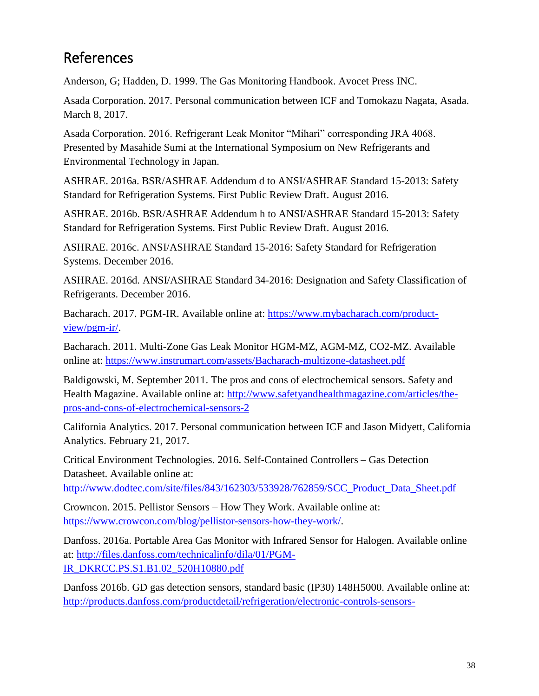## References

Anderson, G; Hadden, D. 1999. The Gas Monitoring Handbook. Avocet Press INC.

Asada Corporation. 2017. Personal communication between ICF and Tomokazu Nagata, Asada. March 8, 2017.

Asada Corporation. 2016. Refrigerant Leak Monitor "Mihari" corresponding JRA 4068. Presented by Masahide Sumi at the International Symposium on New Refrigerants and Environmental Technology in Japan.

ASHRAE. 2016a. BSR/ASHRAE Addendum d to ANSI/ASHRAE Standard 15-2013: Safety Standard for Refrigeration Systems. First Public Review Draft. August 2016.

ASHRAE. 2016b. BSR/ASHRAE Addendum h to ANSI/ASHRAE Standard 15-2013: Safety Standard for Refrigeration Systems. First Public Review Draft. August 2016.

ASHRAE. 2016c. ANSI/ASHRAE Standard 15-2016: Safety Standard for Refrigeration Systems. December 2016.

ASHRAE. 2016d. ANSI/ASHRAE Standard 34-2016: Designation and Safety Classification of Refrigerants. December 2016.

Bacharach. 2017. PGM-IR. Available online at: [https://www.mybacharach.com/product](https://www.mybacharach.com/product-view/pgm-ir/)[view/pgm-ir/.](https://www.mybacharach.com/product-view/pgm-ir/)

Bacharach. 2011. Multi-Zone Gas Leak Monitor HGM-MZ, AGM-MZ, CO2-MZ. Available online at:<https://www.instrumart.com/assets/Bacharach-multizone-datasheet.pdf>

Baldigowski, M. September 2011. The pros and cons of electrochemical sensors. Safety and Health Magazine. Available online at: [http://www.safetyandhealthmagazine.com/articles/the](http://www.safetyandhealthmagazine.com/articles/the-pros-and-cons-of-electrochemical-sensors-2)[pros-and-cons-of-electrochemical-sensors-2](http://www.safetyandhealthmagazine.com/articles/the-pros-and-cons-of-electrochemical-sensors-2)

California Analytics. 2017. Personal communication between ICF and Jason Midyett, California Analytics. February 21, 2017.

Critical Environment Technologies. 2016. Self-Contained Controllers – Gas Detection Datasheet. Available online at:

[http://www.dodtec.com/site/files/843/162303/533928/762859/SCC\\_Product\\_Data\\_Sheet.pdf](http://www.dodtec.com/site/files/843/162303/533928/762859/SCC_Product_Data_Sheet.pdf)

Crowncon. 2015. Pellistor Sensors – How They Work. Available online at: [https://www.crowcon.com/blog/pellistor-sensors-how-they-work/.](https://www.crowcon.com/blog/pellistor-sensors-how-they-work/)

Danfoss. 2016a. Portable Area Gas Monitor with Infrared Sensor for Halogen. Available online at: [http://files.danfoss.com/technicalinfo/dila/01/PGM-](http://files.danfoss.com/technicalinfo/dila/01/PGM-IR_DKRCC.PS.S1.B1.02_520H10880.pdf)[IR\\_DKRCC.PS.S1.B1.02\\_520H10880.pdf](http://files.danfoss.com/technicalinfo/dila/01/PGM-IR_DKRCC.PS.S1.B1.02_520H10880.pdf)

Danfoss 2016b. GD gas detection sensors, standard basic (IP30) 148H5000. Available online at: [http://products.danfoss.com/productdetail/refrigeration/electronic-controls-sensors-](http://products.danfoss.com/productdetail/refrigeration/electronic-controls-sensors-transmitters/gd-dgs-gas-detection-sensors/gd-gas-detection-sensor-standard-basic-ip-30/148h5000/#/)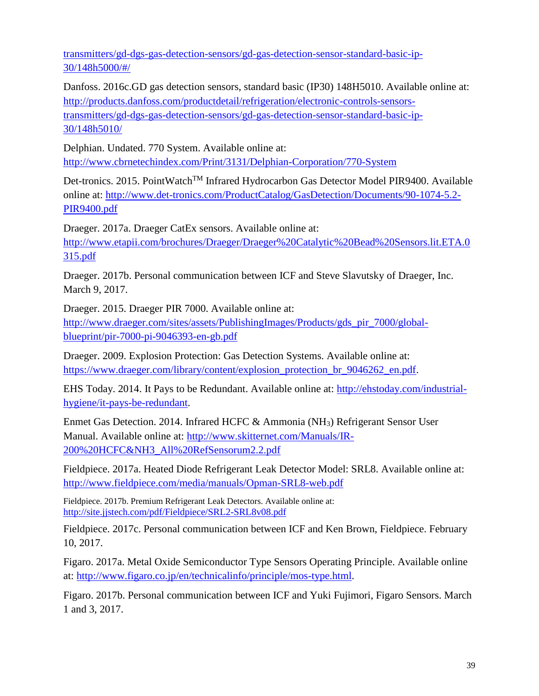[transmitters/gd-dgs-gas-detection-sensors/gd-gas-detection-sensor-standard-basic-ip-](http://products.danfoss.com/productdetail/refrigeration/electronic-controls-sensors-transmitters/gd-dgs-gas-detection-sensors/gd-gas-detection-sensor-standard-basic-ip-30/148h5000/#/)[30/148h5000/#/](http://products.danfoss.com/productdetail/refrigeration/electronic-controls-sensors-transmitters/gd-dgs-gas-detection-sensors/gd-gas-detection-sensor-standard-basic-ip-30/148h5000/#/)

Danfoss. 2016c.GD gas detection sensors, standard basic (IP30) 148H5010. Available online at: [http://products.danfoss.com/productdetail/refrigeration/electronic-controls-sensors](http://products.danfoss.com/productdetail/refrigeration/electronic-controls-sensors-transmitters/gd-dgs-gas-detection-sensors/gd-gas-detection-sensor-standard-basic-ip-30/148h5010/)[transmitters/gd-dgs-gas-detection-sensors/gd-gas-detection-sensor-standard-basic-ip-](http://products.danfoss.com/productdetail/refrigeration/electronic-controls-sensors-transmitters/gd-dgs-gas-detection-sensors/gd-gas-detection-sensor-standard-basic-ip-30/148h5010/)[30/148h5010/](http://products.danfoss.com/productdetail/refrigeration/electronic-controls-sensors-transmitters/gd-dgs-gas-detection-sensors/gd-gas-detection-sensor-standard-basic-ip-30/148h5010/)

Delphian. Undated. 770 System. Available online at: <http://www.cbrnetechindex.com/Print/3131/Delphian-Corporation/770-System>

Det-tronics. 2015. PointWatch™ Infrared Hydrocarbon Gas Detector Model PIR9400. Available online at: [http://www.det-tronics.com/ProductCatalog/GasDetection/Documents/90-1074-5.2-](http://www.det-tronics.com/ProductCatalog/GasDetection/Documents/90-1074-5.2-PIR9400.pdf) [PIR9400.pdf](http://www.det-tronics.com/ProductCatalog/GasDetection/Documents/90-1074-5.2-PIR9400.pdf)

Draeger. 2017a. Draeger CatEx sensors. Available online at: [http://www.etapii.com/brochures/Draeger/Draeger%20Catalytic%20Bead%20Sensors.lit.ETA.0](http://www.etapii.com/brochures/Draeger/Draeger%20Catalytic%20Bead%20Sensors.lit.ETA.0315.pdf) [315.pdf](http://www.etapii.com/brochures/Draeger/Draeger%20Catalytic%20Bead%20Sensors.lit.ETA.0315.pdf)

Draeger. 2017b. Personal communication between ICF and Steve Slavutsky of Draeger, Inc. March 9, 2017.

Draeger. 2015. Draeger PIR 7000. Available online at: [http://www.draeger.com/sites/assets/PublishingImages/Products/gds\\_pir\\_7000/global](http://www.draeger.com/sites/assets/PublishingImages/Products/gds_pir_7000/global-blueprint/pir-7000-pi-9046393-en-gb.pdf)[blueprint/pir-7000-pi-9046393-en-gb.pdf](http://www.draeger.com/sites/assets/PublishingImages/Products/gds_pir_7000/global-blueprint/pir-7000-pi-9046393-en-gb.pdf)

Draeger. 2009. Explosion Protection: Gas Detection Systems. Available online at: [https://www.draeger.com/library/content/explosion\\_protection\\_br\\_9046262\\_en.pdf.](https://www.draeger.com/library/content/explosion_protection_br_9046262_en.pdf)

EHS Today. 2014. It Pays to be Redundant. Available online at: [http://ehstoday.com/industrial](http://ehstoday.com/industrial-hygiene/it-pays-be-redundant)[hygiene/it-pays-be-redundant.](http://ehstoday.com/industrial-hygiene/it-pays-be-redundant)

Enmet Gas Detection. 2014. Infrared HCFC & Ammonia (NH3) Refrigerant Sensor User Manual. Available online at: [http://www.skitternet.com/Manuals/IR-](http://www.skitternet.com/Manuals/IR-200%20HCFC&NH3_All%20RefSensorum2.2.pdf)[200%20HCFC&NH3\\_All%20RefSensorum2.2.pdf](http://www.skitternet.com/Manuals/IR-200%20HCFC&NH3_All%20RefSensorum2.2.pdf)

Fieldpiece. 2017a. Heated Diode Refrigerant Leak Detector Model: SRL8. Available online at: <http://www.fieldpiece.com/media/manuals/Opman-SRL8-web.pdf>

Fieldpiece. 2017b. Premium Refrigerant Leak Detectors. Available online at: <http://site.jjstech.com/pdf/Fieldpiece/SRL2-SRL8v08.pdf>

Fieldpiece. 2017c. Personal communication between ICF and Ken Brown, Fieldpiece. February 10, 2017.

Figaro. 2017a. Metal Oxide Semiconductor Type Sensors Operating Principle. Available online at: [http://www.figaro.co.jp/en/technicalinfo/principle/mos-type.html.](http://www.figaro.co.jp/en/technicalinfo/principle/mos-type.html)

Figaro. 2017b. Personal communication between ICF and Yuki Fujimori, Figaro Sensors. March 1 and 3, 2017.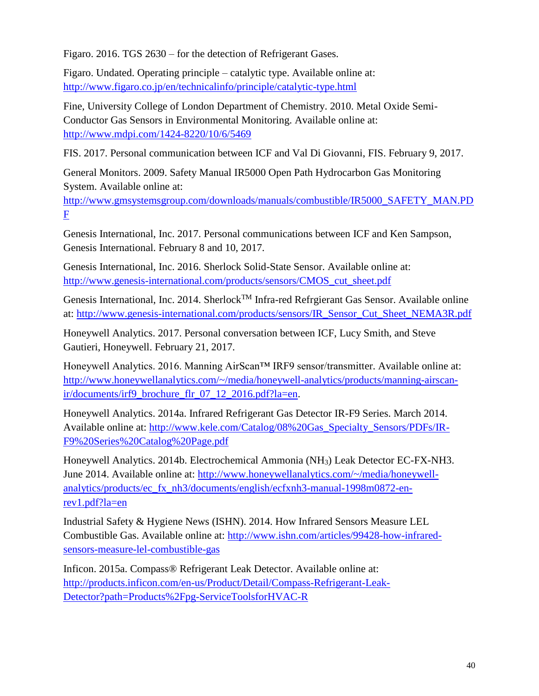Figaro. 2016. TGS 2630 – for the detection of Refrigerant Gases.

Figaro. Undated. Operating principle – catalytic type. Available online at: <http://www.figaro.co.jp/en/technicalinfo/principle/catalytic-type.html>

Fine, University College of London Department of Chemistry. 2010. Metal Oxide Semi-Conductor Gas Sensors in Environmental Monitoring. Available online at: <http://www.mdpi.com/1424-8220/10/6/5469>

FIS. 2017. Personal communication between ICF and Val Di Giovanni, FIS. February 9, 2017.

General Monitors. 2009. Safety Manual IR5000 Open Path Hydrocarbon Gas Monitoring System. Available online at:

[http://www.gmsystemsgroup.com/downloads/manuals/combustible/IR5000\\_SAFETY\\_MAN.PD](http://www.gmsystemsgroup.com/downloads/manuals/combustible/IR5000_SAFETY_MAN.PDF) [F](http://www.gmsystemsgroup.com/downloads/manuals/combustible/IR5000_SAFETY_MAN.PDF)

Genesis International, Inc. 2017. Personal communications between ICF and Ken Sampson, Genesis International. February 8 and 10, 2017.

Genesis International, Inc. 2016. Sherlock Solid-State Sensor. Available online at: [http://www.genesis-international.com/products/sensors/CMOS\\_cut\\_sheet.pdf](http://www.genesis-international.com/products/sensors/CMOS_cut_sheet.pdf)

Genesis International, Inc. 2014. Sherlock<sup>TM</sup> Infra-red Refrgierant Gas Sensor. Available online at: [http://www.genesis-international.com/products/sensors/IR\\_Sensor\\_Cut\\_Sheet\\_NEMA3R.pdf](http://www.genesis-international.com/products/sensors/IR_Sensor_Cut_Sheet_NEMA3R.pdf)

Honeywell Analytics. 2017. Personal conversation between ICF, Lucy Smith, and Steve Gautieri, Honeywell. February 21, 2017.

Honeywell Analytics. 2016. Manning AirScan™ IRF9 sensor/transmitter. Available online at: [http://www.honeywellanalytics.com/~/media/honeywell-analytics/products/manning-airscan](http://www.honeywellanalytics.com/~/media/honeywell-analytics/products/manning-airscan-ir/documents/irf9_brochure_flr_07_12_2016.pdf?la=en)[ir/documents/irf9\\_brochure\\_flr\\_07\\_12\\_2016.pdf?la=en.](http://www.honeywellanalytics.com/~/media/honeywell-analytics/products/manning-airscan-ir/documents/irf9_brochure_flr_07_12_2016.pdf?la=en)

Honeywell Analytics. 2014a. Infrared Refrigerant Gas Detector IR-F9 Series. March 2014. Available online at: [http://www.kele.com/Catalog/08%20Gas\\_Specialty\\_Sensors/PDFs/IR-](http://www.kele.com/Catalog/08%20Gas_Specialty_Sensors/PDFs/IR-F9%20Series%20Catalog%20Page.pdf)[F9%20Series%20Catalog%20Page.pdf](http://www.kele.com/Catalog/08%20Gas_Specialty_Sensors/PDFs/IR-F9%20Series%20Catalog%20Page.pdf)

Honeywell Analytics. 2014b. Electrochemical Ammonia (NH3) Leak Detector EC-FX-NH3. June 2014. Available online at: [http://www.honeywellanalytics.com/~/media/honeywell](http://www.honeywellanalytics.com/~/media/honeywell-analytics/products/ec_fx_nh3/documents/english/ecfxnh3-manual-1998m0872-en-rev1.pdf?la=en)[analytics/products/ec\\_fx\\_nh3/documents/english/ecfxnh3-manual-1998m0872-en](http://www.honeywellanalytics.com/~/media/honeywell-analytics/products/ec_fx_nh3/documents/english/ecfxnh3-manual-1998m0872-en-rev1.pdf?la=en)[rev1.pdf?la=en](http://www.honeywellanalytics.com/~/media/honeywell-analytics/products/ec_fx_nh3/documents/english/ecfxnh3-manual-1998m0872-en-rev1.pdf?la=en)

Industrial Safety & Hygiene News (ISHN). 2014. How Infrared Sensors Measure LEL Combustible Gas. Available online at: [http://www.ishn.com/articles/99428-how-infrared](http://www.ishn.com/articles/99428-how-infrared-sensors-measure-lel-combustible-gas)[sensors-measure-lel-combustible-gas](http://www.ishn.com/articles/99428-how-infrared-sensors-measure-lel-combustible-gas)

Inficon. 2015a. Compass® Refrigerant Leak Detector. Available online at: [http://products.inficon.com/en-us/Product/Detail/Compass-Refrigerant-Leak-](http://products.inficon.com/en-us/Product/Detail/Compass-Refrigerant-Leak-Detector?path=Products%2Fpg-ServiceToolsforHVAC-R)[Detector?path=Products%2Fpg-ServiceToolsforHVAC-R](http://products.inficon.com/en-us/Product/Detail/Compass-Refrigerant-Leak-Detector?path=Products%2Fpg-ServiceToolsforHVAC-R)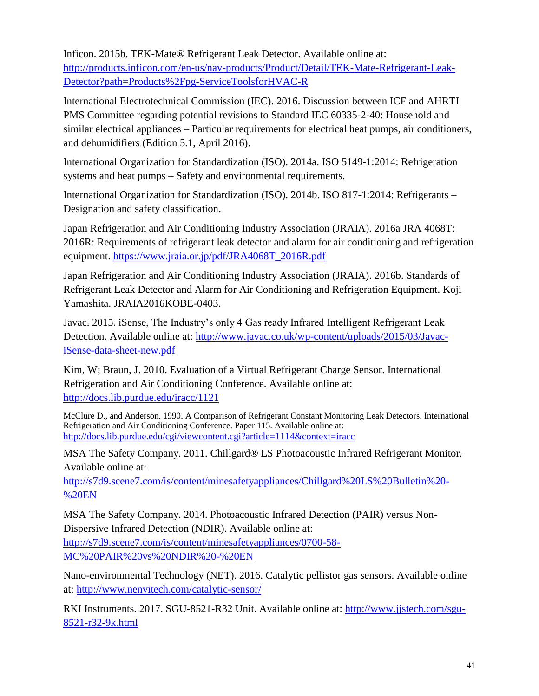Inficon. 2015b. TEK-Mate® Refrigerant Leak Detector. Available online at: [http://products.inficon.com/en-us/nav-products/Product/Detail/TEK-Mate-Refrigerant-Leak-](http://products.inficon.com/en-us/nav-products/Product/Detail/TEK-Mate-Refrigerant-Leak-Detector?path=Products%2Fpg-ServiceToolsforHVAC-R)[Detector?path=Products%2Fpg-ServiceToolsforHVAC-R](http://products.inficon.com/en-us/nav-products/Product/Detail/TEK-Mate-Refrigerant-Leak-Detector?path=Products%2Fpg-ServiceToolsforHVAC-R)

International Electrotechnical Commission (IEC). 2016. Discussion between ICF and AHRTI PMS Committee regarding potential revisions to Standard IEC 60335-2-40: Household and similar electrical appliances – Particular requirements for electrical heat pumps, air conditioners, and dehumidifiers (Edition 5.1, April 2016).

International Organization for Standardization (ISO). 2014a. ISO 5149-1:2014: Refrigeration systems and heat pumps – Safety and environmental requirements.

International Organization for Standardization (ISO). 2014b. ISO 817-1:2014: Refrigerants – Designation and safety classification.

Japan Refrigeration and Air Conditioning Industry Association (JRAIA). 2016a JRA 4068T: 2016R: Requirements of refrigerant leak detector and alarm for air conditioning and refrigeration equipment. [https://www.jraia.or.jp/pdf/JRA4068T\\_2016R.pdf](https://www.jraia.or.jp/pdf/JRA4068T_2016R.pdf)

Japan Refrigeration and Air Conditioning Industry Association (JRAIA). 2016b. Standards of Refrigerant Leak Detector and Alarm for Air Conditioning and Refrigeration Equipment. Koji Yamashita. JRAIA2016KOBE-0403.

Javac. 2015. iSense, The Industry's only 4 Gas ready Infrared Intelligent Refrigerant Leak Detection. Available online at: [http://www.javac.co.uk/wp-content/uploads/2015/03/Javac](http://www.javac.co.uk/wp-content/uploads/2015/03/Javac-iSense-data-sheet-new.pdf)[iSense-data-sheet-new.pdf](http://www.javac.co.uk/wp-content/uploads/2015/03/Javac-iSense-data-sheet-new.pdf)

Kim, W; Braun, J. 2010. Evaluation of a Virtual Refrigerant Charge Sensor. International Refrigeration and Air Conditioning Conference. Available online at: <http://docs.lib.purdue.edu/iracc/1121>

McClure D., and Anderson. 1990. A Comparison of Refrigerant Constant Monitoring Leak Detectors. International Refrigeration and Air Conditioning Conference. Paper 115. Available online at: <http://docs.lib.purdue.edu/cgi/viewcontent.cgi?article=1114&context=iracc>

MSA The Safety Company. 2011. Chillgard® LS Photoacoustic Infrared Refrigerant Monitor. Available online at:

[http://s7d9.scene7.com/is/content/minesafetyappliances/Chillgard%20LS%20Bulletin%20-](http://s7d9.scene7.com/is/content/minesafetyappliances/Chillgard%20LS%20Bulletin%20-%20EN) [%20EN](http://s7d9.scene7.com/is/content/minesafetyappliances/Chillgard%20LS%20Bulletin%20-%20EN)

MSA The Safety Company. 2014. Photoacoustic Infrared Detection (PAIR) versus Non-Dispersive Infrared Detection (NDIR). Available online at: [http://s7d9.scene7.com/is/content/minesafetyappliances/0700-58-](http://s7d9.scene7.com/is/content/minesafetyappliances/0700-58-MC%20PAIR%20vs%20NDIR%20-%20EN) [MC%20PAIR%20vs%20NDIR%20-%20EN](http://s7d9.scene7.com/is/content/minesafetyappliances/0700-58-MC%20PAIR%20vs%20NDIR%20-%20EN)

Nano-environmental Technology (NET). 2016. Catalytic pellistor gas sensors. Available online at:<http://www.nenvitech.com/catalytic-sensor/>

RKI Instruments. 2017. SGU-8521-R32 Unit. Available online at: [http://www.jjstech.com/sgu-](http://www.jjstech.com/sgu-8521-r32-9k.html)[8521-r32-9k.html](http://www.jjstech.com/sgu-8521-r32-9k.html)